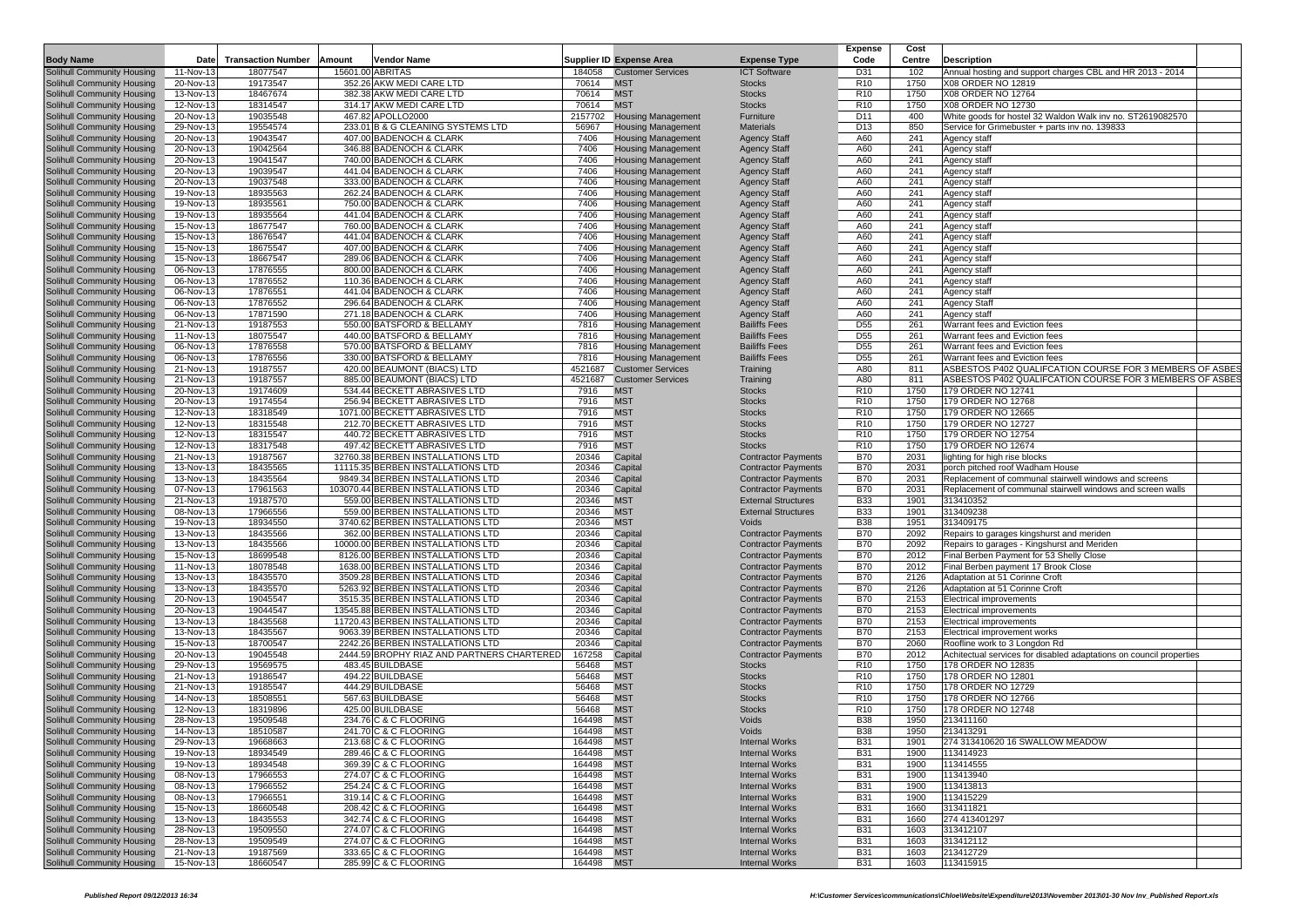|                                                                 |                        |                           |        |                                                                       |                |                                                        |                                                          | <b>Expense</b>                     | Cost         |                                                                         |  |
|-----------------------------------------------------------------|------------------------|---------------------------|--------|-----------------------------------------------------------------------|----------------|--------------------------------------------------------|----------------------------------------------------------|------------------------------------|--------------|-------------------------------------------------------------------------|--|
| <b>Body Name</b>                                                | Date                   | <b>Transaction Number</b> | Amount | <b>Vendor Name</b>                                                    |                | Supplier ID Expense Area                               | <b>Expense Type</b>                                      | Code                               | Centre       | <b>Description</b>                                                      |  |
| Solihull Community Housing                                      | 11-Nov-13              | 18077547                  |        | 15601.00 ABRITAS                                                      | 184058         | <b>Customer Services</b>                               | <b>ICT Software</b>                                      | D31                                | 102          | Annual hosting and support charges CBL and HR 2013 - 2014               |  |
| Solihull Community Housing                                      | 20-Nov-13              | 19173547                  |        | 352.26 AKW MEDI CARE LTD                                              | 70614          | <b>MST</b>                                             | <b>Stocks</b>                                            | R <sub>10</sub>                    | 1750         | X08 ORDER NO 12819                                                      |  |
| Solihull Community Housing                                      | 13-Nov-13              | 18467674                  |        | 382.38 AKW MEDI CARE LTD                                              | 70614          | <b>MST</b>                                             | <b>Stocks</b>                                            | R <sub>10</sub>                    | 1750         | X08 ORDER NO 12764                                                      |  |
| Solihull Community Housing                                      | 12-Nov-13              | 18314547                  |        | 314.17 AKW MEDI CARE LTD                                              | 70614          | <b>MST</b>                                             | <b>Stocks</b>                                            | R <sub>10</sub>                    | 1750         | X08 ORDER NO 12730                                                      |  |
| <b>Solihull Community Housing</b>                               | 20-Nov-13              | 19035548                  |        | 467.82 APOLLO2000<br>233.01 B & G CLEANING SYSTEMS LTD                | 2157702        | <b>Housing Management</b>                              | Furniture                                                | D <sub>11</sub><br>D <sub>13</sub> | 400          | White goods for hostel 32 Waldon Walk inv no. ST2619082570              |  |
| Solihull Community Housing<br>Solihull Community Housing        | 29-Nov-13<br>20-Nov-13 | 19554574<br>19043547      |        | 407.00 BADENOCH & CLARK                                               | 56967<br>7406  | <b>Housing Management</b>                              | Materials                                                | A60                                | 850<br>241   | Service for Grimebuster + parts inv no. 139833                          |  |
| Solihull Community Housing                                      | 20-Nov-13              | 19042564                  |        | 346.88 BADENOCH & CLARK                                               | 7406           | <b>Housing Management</b><br><b>Housing Management</b> | <b>Agency Staff</b><br><b>Agency Staff</b>               | A60                                | 241          | Agency staff<br>Agency staff                                            |  |
| Solihull Community Housing                                      | 20-Nov-13              | 19041547                  |        | 740.00 BADENOCH & CLARK                                               | 7406           | <b>Housing Management</b>                              | <b>Agency Staff</b>                                      | A60                                | 241          | Agency staff                                                            |  |
| Solihull Community Housing                                      | 20-Nov-13              | 19039547                  |        | 441.04 BADENOCH & CLARK                                               | 7406           | <b>Housing Management</b>                              | <b>Agency Staff</b>                                      | A60                                | 241          | Agency staff                                                            |  |
| Solihull Community Housing                                      | 20-Nov-13              | 19037548                  |        | 333.00 BADENOCH & CLARK                                               | 7406           | <b>Housing Management</b>                              | <b>Agency Staff</b>                                      | A60                                | 241          | Agency staff                                                            |  |
| Solihull Community Housing                                      | 19-Nov-13              | 18935563                  |        | 262.24 BADENOCH & CLARK                                               | 7406           | <b>Housing Management</b>                              | <b>Agency Staff</b>                                      | A60                                | 241          | Agency staff                                                            |  |
| Solihull Community Housing                                      | 19-Nov-13              | 18935561                  |        | 750.00 BADENOCH & CLARK                                               | 7406           | <b>Housing Management</b>                              | <b>Agency Staff</b>                                      | A60                                | 241          | Agency staff                                                            |  |
| Solihull Community Housing                                      | 19-Nov-13              | 18935564                  |        | 441.04 BADENOCH & CLARK                                               | 7406           | <b>Housing Management</b>                              | <b>Agency Staff</b>                                      | A60                                | 241          | Agency staft                                                            |  |
| Solihull Community Housing                                      | 15-Nov-13              | 18677547                  |        | 760.00 BADENOCH & CLARK                                               | 7406           | <b>Housing Management</b>                              | <b>Agency Staff</b>                                      | A60                                | 241          | Agency staff                                                            |  |
| Solihull Community Housing                                      | 15-Nov-13              | 18676547                  |        | 441.04 BADENOCH & CLARK                                               | 7406           | <b>Housing Management</b>                              | <b>Agency Staff</b>                                      | A60                                | 241          | Agency staff                                                            |  |
| <b>Solihull Community Housing</b>                               | 15-Nov-13              | 18675547                  |        | 407.00 BADENOCH & CLARK                                               | 7406           | <b>Housing Management</b>                              | <b>Agency Staff</b>                                      | A60                                | 241          | Agency staff                                                            |  |
| Solihull Community Housing                                      | 15-Nov-13              | 18667547                  |        | 289.06 BADENOCH & CLARK                                               | 7406           | <b>Housing Management</b>                              | <b>Agency Staff</b>                                      | A60                                | 241          | Agency staf                                                             |  |
| <b>Solihull Community Housing</b>                               | 06-Nov-13              | 17876555                  |        | 800.00 BADENOCH & CLARK                                               | 7406           | <b>Housing Management</b>                              | <b>Agency Staff</b>                                      | A60                                | 241          | Agency staff                                                            |  |
| Solihull Community Housing                                      | 06-Nov-13              | 17876552                  |        | 110.36 BADENOCH & CLARK                                               | 7406           | <b>Housing Management</b>                              | <b>Agency Staff</b>                                      | A60                                | 241          | Agency staff                                                            |  |
| Solihull Community Housing                                      | 06-Nov-13              | 17876551<br>17876552      |        | 441.04 BADENOCH & CLARK                                               | 7406<br>7406   | <b>Housing Management</b>                              | <b>Agency Staff</b>                                      | A60<br>A60                         | 241<br>241   | Agency staff                                                            |  |
| Solihull Community Housing<br>Solihull Community Housing        | 06-Nov-13<br>06-Nov-13 | 17871590                  |        | 296.64 BADENOCH & CLARK<br>271.18 BADENOCH & CLARK                    | 7406           | <b>Housing Management</b><br><b>Housing Management</b> | <b>Agency Staff</b><br><b>Agency Staff</b>               | A60                                | 241          | <b>Agency Staff</b><br>Agency staff                                     |  |
| Solihull Community Housing                                      | 21-Nov-13              | 19187553                  |        | 550.00 BATSFORD & BELLAMY                                             | 7816           | <b>Housing Management</b>                              | <b>Bailiffs Fees</b>                                     | D <sub>55</sub>                    | 261          | Warrant fees and Eviction fees                                          |  |
| Solihull Community Housing                                      | 11-Nov-13              | 18075547                  |        | 440.00 BATSFORD & BELLAMY                                             | 7816           | <b>Housing Management</b>                              | <b>Bailiffs Fees</b>                                     | D <sub>55</sub>                    | 261          | Warrant fees and Eviction fees                                          |  |
| Solihull Community Housing                                      | 06-Nov-13              | 17876558                  |        | 570.00 BATSFORD & BELLAMY                                             | 7816           | <b>Housing Management</b>                              | <b>Bailiffs Fees</b>                                     | D <sub>55</sub>                    | 261          | Warrant fees and Eviction fees                                          |  |
| Solihull Community Housing                                      | 06-Nov-13              | 17876556                  |        | 330.00 BATSFORD & BELLAMY                                             | 7816           | <b>Housing Management</b>                              | <b>Bailiffs Fees</b>                                     | D <sub>55</sub>                    | 261          | Warrant fees and Eviction fees                                          |  |
| <b>Solihull Community Housing</b>                               | 21-Nov-13              | 19187557                  |        | 420.00 BEAUMONT (BIACS) LTD                                           | 4521687        | <b>Customer Services</b>                               | Training                                                 | A80                                | 811          | ASBESTOS P402 QUALIFCATION COURSE FOR 3 MEMBERS OF ASBES                |  |
| Solihull Community Housing                                      | 21-Nov-13              | 19187557                  |        | 885.00 BEAUMONT (BIACS) LTD                                           | 4521687        | <b>Customer Services</b>                               | Training                                                 | A80                                | 811          | ASBESTOS P402 QUALIFCATION COURSE FOR 3 MEMBERS OF ASBE                 |  |
| Solihull Community Housing                                      | 20-Nov-13              | 19174609                  |        | 534.44 BECKETT ABRASIVES LTD                                          | 7916           | <b>MST</b>                                             | <b>Stocks</b>                                            | R <sub>10</sub>                    | 1750         | 179 ORDER NO 12741                                                      |  |
| Solihull Community Housing                                      | 20-Nov-13              | 19174554                  |        | 256.94 BECKETT ABRASIVES LTD                                          | 7916           | <b>MST</b>                                             | <b>Stocks</b>                                            | R <sub>10</sub>                    | 1750         | 179 ORDER NO 12768                                                      |  |
| Solihull Community Housing                                      | 12-Nov-13              | 18318549                  |        | 1071.00 BECKETT ABRASIVES LTD                                         | 7916           | <b>MST</b>                                             | <b>Stocks</b>                                            | R <sub>10</sub>                    | 1750         | 179 ORDER NO 12665                                                      |  |
| <b>Solihull Community Housing</b>                               | 12-Nov-13              | 18315548                  |        | 212.70 BECKETT ABRASIVES LTD                                          | 7916           | <b>MST</b>                                             | <b>Stocks</b>                                            | R <sub>10</sub>                    | 1750         | 179 ORDER NO 12727                                                      |  |
| Solihull Community Housing                                      | 12-Nov-13              | 18315547                  |        | 440.72 BECKETT ABRASIVES LTD                                          | 7916           | <b>MST</b>                                             | <b>Stocks</b>                                            | R <sub>10</sub>                    | 1750         | 179 ORDER NO 12754                                                      |  |
| Solihull Community Housing                                      | 12-Nov-13              | 18317548                  |        | 497.42 BECKETT ABRASIVES LTD                                          | 7916           | <b>MST</b>                                             | <b>Stocks</b>                                            | R <sub>10</sub>                    | 1750         | 179 ORDER NO 12674                                                      |  |
| Solihull Community Housing                                      | 21-Nov-13              | 19187567                  |        | 32760.38 BERBEN INSTALLATIONS LTD                                     | 20346          | Capital                                                | <b>Contractor Payments</b>                               | <b>B70</b>                         | 2031         | lighting for high rise blocks                                           |  |
| Solihull Community Housing                                      | 13-Nov-13              | 18435565                  |        | 11115.35 BERBEN INSTALLATIONS LTD                                     | 20346          | Capital                                                | <b>Contractor Payments</b>                               | <b>B70</b>                         | 2031         | porch pitched roof Wadham House                                         |  |
| Solihull Community Housing                                      | 13-Nov-13              | 18435564                  |        | 9849.34 BERBEN INSTALLATIONS LTD                                      | 20346          | Capital                                                | <b>Contractor Payments</b>                               | <b>B70</b>                         | 2031         | Replacement of communal stairwell windows and screens                   |  |
| Solihull Community Housing                                      | 07-Nov-13<br>21-Nov-13 | 17961563<br>19187570      |        | 103070.44 BERBEN INSTALLATIONS LTD<br>559.00 BERBEN INSTALLATIONS LTD | 20346<br>20346 | Capital<br><b>MST</b>                                  | <b>Contractor Payments</b><br><b>External Structures</b> | <b>B70</b><br><b>B33</b>           | 2031<br>1901 | Replacement of communal stairwell windows and screen walls<br>313410352 |  |
| Solihull Community Housing<br>Solihull Community Housing        | 08-Nov-13              | 17966556                  |        | 559.00 BERBEN INSTALLATIONS LTD                                       | 20346          | <b>MST</b>                                             | <b>External Structures</b>                               | <b>B33</b>                         | 1901         | 313409238                                                               |  |
| Solihull Community Housing                                      | 19-Nov-13              | 18934550                  |        | 3740.62 BERBEN INSTALLATIONS LTD                                      | 20346          | <b>MST</b>                                             | Voids                                                    | <b>B38</b>                         | 1951         | 313409175                                                               |  |
| Solihull Community Housing                                      | 13-Nov-13              | 18435566                  |        | 362.00 BERBEN INSTALLATIONS LTD                                       | 20346          | Capital                                                | <b>Contractor Payments</b>                               | <b>B70</b>                         | 2092         | Repairs to garages kingshurst and meriden                               |  |
| <b>Solihull Community Housing</b>                               | 13-Nov-13              | 18435566                  |        | 10000.00 BERBEN INSTALLATIONS LTD                                     | 20346          | Capital                                                | <b>Contractor Payments</b>                               | <b>B70</b>                         | 2092         | Repairs to garages - Kingshurst and Meriden                             |  |
| Solihull Community Housing                                      | 15-Nov-13              | 18699548                  |        | 8126.00 BERBEN INSTALLATIONS LTD                                      | 20346          | Capital                                                | <b>Contractor Payments</b>                               | <b>B70</b>                         | 2012         | Final Berben Payment for 53 Shelly Close                                |  |
| Solihull Community Housing                                      | 11-Nov-13              | 18078548                  |        | 1638.00 BERBEN INSTALLATIONS LTD                                      | 20346          | Capital                                                | <b>Contractor Payments</b>                               | <b>B70</b>                         | 2012         | Final Berben payment 17 Brook Close                                     |  |
| Solihull Community Housing                                      | 13-Nov-13              | 18435570                  |        | 3509.28 BERBEN INSTALLATIONS LTD                                      | 20346          | Capital                                                | <b>Contractor Payments</b>                               | <b>B70</b>                         | 2126         | Adaptation at 51 Corinne Croft                                          |  |
| Solihull Community Housing                                      | 13-Nov-13              | 18435570                  |        | 5263.92 BERBEN INSTALLATIONS LTD                                      | 20346          | Capital                                                | <b>Contractor Payments</b>                               | <b>B70</b>                         | 2126         | Adaptation at 51 Corinne Croft                                          |  |
| Solihull Community Housing                                      | 20-Nov-13              | 19045547                  |        | 3515.35 BERBEN INSTALLATIONS LTD                                      | 20346          | Capital                                                | <b>Contractor Payments</b>                               | <b>B70</b>                         | 2153         | <b>Electrical improvements</b>                                          |  |
| Solihull Community Housing                                      | 20-Nov-13              | 19044547                  |        | 13545.88 BERBEN INSTALLATIONS LTD                                     | 20346          | Capital                                                | <b>Contractor Payments</b>                               | <b>B70</b>                         | 2153         | Electrical improvements                                                 |  |
| Solihull Community Housing                                      | 13-Nov-13              | 18435568                  |        | 11720.43 BERBEN INSTALLATIONS LTD                                     | 20346          | Capital                                                | <b>Contractor Payments</b>                               | <b>B70</b>                         | 2153         | <b>Electrical improvements</b>                                          |  |
| <b>Solihull Community Housing</b>                               | 13-Nov-13              | 18435567                  |        | 9063.39 BERBEN INSTALLATIONS LTD                                      | 20346          | Capital                                                | <b>Contractor Payments</b>                               | <b>B70</b>                         | 2153         | Electrical improvement works                                            |  |
| Solihull Community Housing                                      | 15-Nov-13              | 18700547                  |        | 2242.26 BERBEN INSTALLATIONS LTD                                      | 20346          | Capital                                                | <b>Contractor Payments</b>                               | <b>B70</b>                         | 2060         | Roofline work to 3 Longdon Rd                                           |  |
| Solihull Community Housing                                      | 20-Nov-13              | 19045548                  |        | 2444.59 BROPHY RIAZ AND PARTNERS CHARTERED                            | 167258         | Capital                                                | <b>Contractor Payments</b>                               | <b>B70</b>                         | 2012         | Achitectual services for disabled adaptations on council properties     |  |
| Solihull Community Housing<br><b>Solihull Community Housing</b> | 29-Nov-13<br>21-Nov-13 | 19569575<br>19186547      |        | 483.45 BUILDBASE<br>494.22 BUILDBASE                                  | 56468<br>56468 | <b>MST</b><br><b>MST</b>                               | <b>Stocks</b><br><b>Stocks</b>                           | R <sub>10</sub><br>R <sub>10</sub> | 1750<br>1750 | 178 ORDER NO 12835<br>178 ORDER NO 12801                                |  |
| Solihull Community Housing                                      | 21-Nov-13              | 19185547                  |        | 444.29 BUILDBASE                                                      | 56468          | <b>MST</b>                                             | <b>Stocks</b>                                            | R <sub>10</sub>                    | 1750         | 178 ORDER NO 12729                                                      |  |
| Solihull Community Housing                                      | 14-Nov-13              | 18508551                  |        | 567.63 BUILDBASE                                                      | 56468          | <b>MST</b>                                             | <b>Stocks</b>                                            | R <sub>10</sub>                    | 1750         | 178 ORDER NO 12766                                                      |  |
| Solihull Community Housing                                      | 12-Nov-13              | 18319896                  |        | 425.00 BUILDBASE                                                      | 56468          | <b>MST</b>                                             | <b>Stocks</b>                                            | R <sub>10</sub>                    | 1750         | 178 ORDER NO 12748                                                      |  |
| Solihull Community Housing                                      | 28-Nov-13              | 19509548                  |        | 234.76 C & C FLOORING                                                 | 164498         | <b>MST</b>                                             | Voids                                                    | <b>B38</b>                         | 1950         | 213411160                                                               |  |
| <b>Solihull Community Housing</b>                               | 14-Nov-13              | 18510587                  |        | 241.70 C & C FLOORING                                                 | 164498         | <b>MST</b>                                             | Voids                                                    | <b>B38</b>                         | 1950         | 213413291                                                               |  |
| <b>Solihull Community Housing</b>                               | 29-Nov-13              | 19668663                  |        | 213.68 C & C FLOORING                                                 | 164498 MST     |                                                        | Internal Works                                           | <b>B31</b>                         | 1901         | 274 313410620 16 SWALLOW MEADOW                                         |  |
| Solihull Community Housing                                      | 19-Nov-13              | 18934549                  |        | 289.46 C & C FLOORING                                                 | 164498         | <b>MST</b>                                             | <b>Internal Works</b>                                    | <b>B31</b>                         | 1900         | 113414923                                                               |  |
| Solihull Community Housing                                      | 19-Nov-13              | 18934548                  |        | 369.39 C & C FLOORING                                                 | 164498         | <b>MST</b>                                             | <b>Internal Works</b>                                    | <b>B31</b>                         | 1900         | 113414555                                                               |  |
| Solihull Community Housing                                      | 08-Nov-13              | 17966553                  |        | 274.07 C & C FLOORING                                                 | 164498         | <b>MST</b>                                             | <b>Internal Works</b>                                    | <b>B31</b>                         | 1900         | 113413940                                                               |  |
| Solihull Community Housing                                      | 08-Nov-13              | 17966552                  |        | 254.24 C & C FLOORING                                                 | 164498         | <b>MST</b>                                             | <b>Internal Works</b>                                    | <b>B31</b>                         | 1900         | 113413813                                                               |  |
| Solihull Community Housing                                      | 08-Nov-13              | 17966551                  |        | 319.14 C & C FLOORING                                                 | 164498         | <b>MST</b>                                             | <b>Internal Works</b>                                    | <b>B31</b>                         | 1900         | 113415229                                                               |  |
| Solihull Community Housing                                      | 15-Nov-13              | 18660548                  |        | 208.42 C & C FLOORING                                                 | 164498         | <b>MST</b>                                             | <b>Internal Works</b>                                    | <b>B31</b>                         | 1660         | 313411821                                                               |  |
| Solihull Community Housing                                      | 13-Nov-13              | 18435553                  |        | 342.74 C & C FLOORING                                                 | 164498         | <b>MST</b>                                             | <b>Internal Works</b>                                    | <b>B31</b>                         | 1660         | 274 413401297                                                           |  |
| Solihull Community Housing                                      | 28-Nov-13              | 19509550                  |        | 274.07 C & C FLOORING                                                 | 164498         | <b>MST</b>                                             | <b>Internal Works</b>                                    | <b>B31</b>                         | 1603         | 313412107                                                               |  |
| Solihull Community Housing                                      | 28-Nov-13              | 19509549                  |        | 274.07 C & C FLOORING                                                 | 164498         | <b>MST</b>                                             | <b>Internal Works</b>                                    | <b>B31</b>                         | 1603         | 313412112                                                               |  |
| Solihull Community Housing                                      | 21-Nov-13              | 19187569                  |        | 333.65 C & C FLOORING<br>285.99 C & C FLOORING                        | 164498         | <b>MST</b>                                             | <b>Internal Works</b>                                    | <b>B31</b>                         | 1603         | 213412729                                                               |  |
| Solihull Community Housing                                      | 15-Nov-13              | 18660547                  |        |                                                                       | 164498 MST     |                                                        | <b>Internal Works</b>                                    | <b>B31</b>                         | 1603         | 113415915                                                               |  |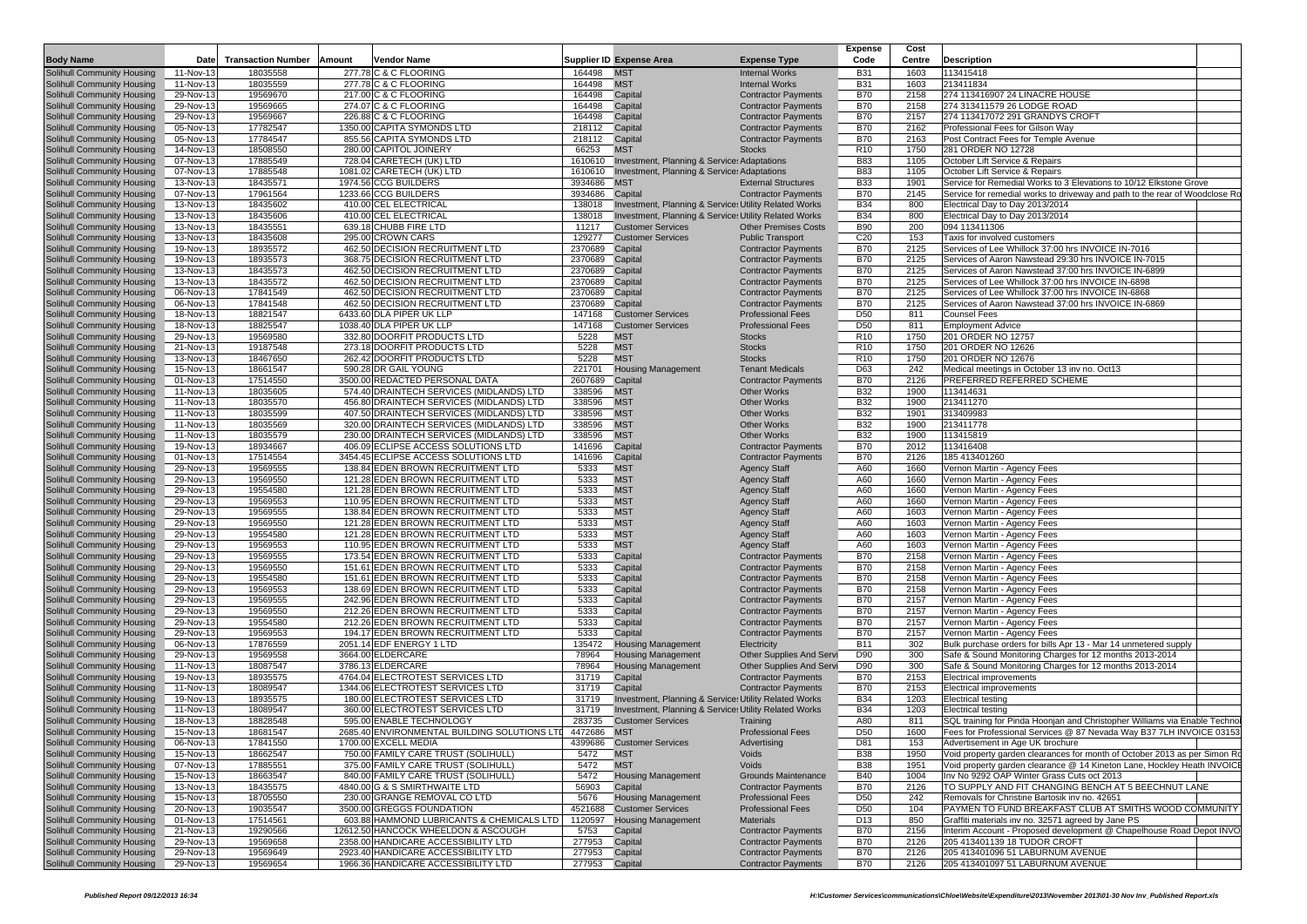|                                                                        |                        |                           |                                                                                      |                    |                                                                  |                                                          | <b>Expense</b>                     | Cost         |                                                                                                              |  |
|------------------------------------------------------------------------|------------------------|---------------------------|--------------------------------------------------------------------------------------|--------------------|------------------------------------------------------------------|----------------------------------------------------------|------------------------------------|--------------|--------------------------------------------------------------------------------------------------------------|--|
| <b>Body Name</b>                                                       | Date                   | <b>Transaction Number</b> | Amount<br>Vendor Name                                                                |                    | <b>Supplier ID Expense Area</b>                                  | <b>Expense Type</b>                                      | Code                               | Centre       | <b>Description</b>                                                                                           |  |
| <b>Solihull Community Housing</b>                                      | 11-Nov-13              | 18035558                  | 277.78 C & C FLOORING                                                                | 164498             | <b>MST</b>                                                       | <b>Internal Works</b>                                    | <b>B31</b>                         | 1603         | 113415418                                                                                                    |  |
| Solihull Community Housing                                             | 11-Nov-13              | 18035559                  | 277.78 C & C FLOORING                                                                | 164498             | <b>MST</b>                                                       | <b>Internal Works</b>                                    | <b>B31</b>                         | 1603         | 213411834                                                                                                    |  |
| <b>Solihull Community Housing</b>                                      | 29-Nov-13              | 19569670                  | 217.00 C & C FLOORING                                                                | 164498             | Capital                                                          | <b>Contractor Payments</b>                               | <b>B70</b>                         | 2158         | 274 113416907 24 LINACRE HOUSE                                                                               |  |
| <b>Solihull Community Housing</b>                                      | 29-Nov-13              | 19569665                  | 274.07 C & C FLOORING<br>226.88 C & C FLOORING                                       | 164498             | Capital                                                          | <b>Contractor Payments</b>                               | <b>B70</b><br><b>B70</b>           | 2158         | 274 313411579 26 LODGE ROAD<br>274 113417072 291 GRANDYS CROFT                                               |  |
| <b>Solihull Community Housing</b><br><b>Solihull Community Housing</b> | 29-Nov-13<br>05-Nov-13 | 19569667<br>17782547      | 1350.00 CAPITA SYMONDS LTD                                                           | 164498<br>218112   | Capital<br>Capital                                               | <b>Contractor Payments</b><br><b>Contractor Payments</b> | <b>B70</b>                         | 2157<br>2162 | Professional Fees for Gilson Wav                                                                             |  |
| <b>Solihull Community Housing</b>                                      | 05-Nov-13              | 17784547                  | 855.56 CAPITA SYMONDS LTD                                                            | 218112             | Capital                                                          | <b>Contractor Payments</b>                               | <b>B70</b>                         | 2163         | Post Contract Fees for Temple Avenue                                                                         |  |
| <b>Solihull Community Housing</b>                                      | 14-Nov-13              | 18508550                  | 280.00 CAPITOL JOINERY                                                               | 66253              | <b>MST</b>                                                       | <b>Stocks</b>                                            | R <sub>10</sub>                    | 1750         | 281 ORDER NO 12728                                                                                           |  |
| Solihull Community Housing                                             | 07-Nov-13              | 17885549                  | 728.04 CARETECH (UK) LTD                                                             | 1610610            | <b>Investment, Planning &amp; Service: Adaptations</b>           |                                                          | <b>B83</b>                         | 1105         | October Lift Service & Repairs                                                                               |  |
| <b>Solihull Community Housing</b>                                      | 07-Nov-13              | 17885548                  | 1081.02 CARETECH (UK) LTD                                                            | 1610610            | <b>Investment, Planning &amp; Service: Adaptations</b>           |                                                          | <b>B83</b>                         | 1105         | October Lift Service & Repairs                                                                               |  |
| <b>Solihull Community Housing</b>                                      | 13-Nov-13              | 18435571                  | 1974.56 CCG BUILDERS                                                                 | 3934686            | <b>MST</b>                                                       | <b>External Structures</b>                               | <b>B33</b>                         | 1901         | Service for Remedial Works to 3 Elevations to 10/12 Elkstone Grove                                           |  |
| <b>Solihull Community Housing</b>                                      | 07-Nov-13              | 17961564                  | 1233.66 CCG BUILDERS                                                                 | 3934686            | Capital                                                          | <b>Contractor Payments</b>                               | <b>B70</b>                         | 2145         | Service for remedial works to driveway and path to the rear of Woodclose R                                   |  |
| Solihull Community Housing                                             | 13-Nov-13              | 18435602                  | 410.00 CEL ELECTRICAL                                                                | 138018             | Investment, Planning & Services Utility Related Works            |                                                          | <b>B34</b>                         | 800          | Electrical Day to Day 2013/2014                                                                              |  |
| <b>Solihull Community Housing</b>                                      | 13-Nov-13              | 18435606                  | 410.00 CEL ELECTRICAL                                                                | 138018             | Investment, Planning & Services Utility Related Works            |                                                          | <b>B34</b>                         | 800          | Electrical Day to Day 2013/2014                                                                              |  |
| <b>Solihull Community Housing</b>                                      | 13-Nov-13              | 18435551                  | 639.18 CHUBB FIRE LTD                                                                | 11217              | <b>Customer Services</b>                                         | <b>Other Premises Costs</b>                              | <b>B90</b>                         | 200          | 094 113411306                                                                                                |  |
| <b>Solihull Community Housing</b>                                      | 13-Nov-13              | 18435608                  | 295.00 CROWN CARS                                                                    | 129277             | <b>Customer Services</b>                                         | <b>Public Transport</b>                                  | C <sub>20</sub>                    | 153          | Taxis for involved customers                                                                                 |  |
| <b>Solihull Community Housing</b>                                      | 19-Nov-13              | 18935572                  | 462.50 DECISION RECRUITMENT LTD                                                      | 2370689            | Capital                                                          | <b>Contractor Payments</b>                               | <b>B70</b>                         | 2125         | Services of Lee Whillock 37:00 hrs INVOICE IN-7016<br>Services of Aaron Nawstead 29:30 hrs INVOICE IN-7015   |  |
| <b>Solihull Community Housing</b><br><b>Solihull Community Housing</b> | 19-Nov-13<br>13-Nov-13 | 18935573<br>18435573      | 368.75 DECISION RECRUITMENT LTD<br>462.50 DECISION RECRUITMENT LTD                   | 2370689<br>2370689 | Capital<br>Capital                                               | <b>Contractor Payments</b><br><b>Contractor Payments</b> | <b>B70</b><br><b>B70</b>           | 2125<br>2125 | Services of Aaron Nawstead 37:00 hrs INVOICE IN-6899                                                         |  |
| Solihull Community Housing                                             | 13-Nov-13              | 18435572                  | 462.50 DECISION RECRUITMENT LTD                                                      | 2370689            | Capital                                                          | <b>Contractor Payments</b>                               | <b>B70</b>                         | 2125         | Services of Lee Whillock 37:00 hrs INVOICE IN-6898                                                           |  |
| <b>Solihull Community Housing</b>                                      | 06-Nov-13              | 17841549                  | 462.50 DECISION RECRUITMENT LTD                                                      | 2370689            | Capital                                                          | <b>Contractor Payments</b>                               | <b>B70</b>                         | 2125         | Services of Lee Whillock 37:00 hrs INVOICE IN-6868                                                           |  |
| <b>Solihull Community Housing</b>                                      | 06-Nov-13              | 17841548                  | 462.50 DECISION RECRUITMENT LTD                                                      | 2370689            | Capital                                                          | <b>Contractor Payments</b>                               | <b>B70</b>                         | 2125         | Services of Aaron Nawstead 37:00 hrs INVOICE IN-6869                                                         |  |
| <b>Solihull Community Housing</b>                                      | 18-Nov-13              | 18821547                  | 6433.60 DLA PIPER UK LLP                                                             | 147168             | <b>Customer Services</b>                                         | <b>Professional Fees</b>                                 | D <sub>50</sub>                    | 811          | <b>Counsel Fees</b>                                                                                          |  |
| <b>Solihull Community Housing</b>                                      | 18-Nov-13              | 18825547                  | 1038.40 DLA PIPER UK LLP                                                             | 147168             | <b>Customer Services</b>                                         | <b>Professional Fees</b>                                 | D <sub>50</sub>                    | 811          | <b>Employment Advice</b>                                                                                     |  |
| <b>Solihull Community Housing</b>                                      | 29-Nov-13              | 19569580                  | 332.80 DOORFIT PRODUCTS LTD                                                          | 5228               | <b>MST</b>                                                       | <b>Stocks</b>                                            | R <sub>10</sub>                    | 1750         | 201 ORDER NO 12757                                                                                           |  |
| <b>Solihull Community Housing</b>                                      | 21-Nov-13              | 19187548                  | 273.18 DOORFIT PRODUCTS LTD                                                          | 5228               | <b>MST</b>                                                       | <b>Stocks</b>                                            | R <sub>10</sub>                    | 1750         | 201 ORDER NO 12626                                                                                           |  |
| <b>Solihull Community Housing</b>                                      | 13-Nov-13              | 18467650                  | 262.42 DOORFIT PRODUCTS LTD                                                          | 5228               | <b>MST</b>                                                       | <b>Stocks</b>                                            | R <sub>10</sub>                    | 1750         | 201 ORDER NO 12676                                                                                           |  |
| <b>Solihull Community Housing</b>                                      | 15-Nov-13              | 18661547                  | 590.28 DR GAIL YOUNG                                                                 | 221701             | <b>Housing Management</b>                                        | <b>Tenant Medicals</b>                                   | D63                                | 242          | Medical meetings in October 13 inv no. Oct13                                                                 |  |
| <b>Solihull Community Housing</b>                                      | 01-Nov-13              | 17514550                  | 3500.00 REDACTED PERSONAL DATA                                                       | 2607689            | Capital                                                          | <b>Contractor Payments</b>                               | <b>B70</b>                         | 2126         | PREFERRED REFERRED SCHEME                                                                                    |  |
| <b>Solihull Community Housing</b>                                      | 11-Nov-13              | 18035605                  | 574.40 DRAINTECH SERVICES (MIDLANDS) LTD                                             | 338596             | <b>MST</b>                                                       | <b>Other Works</b>                                       | <b>B32</b>                         | 1900         | 113414631                                                                                                    |  |
| Solihull Community Housing<br><b>Solihull Community Housing</b>        | 11-Nov-13<br>11-Nov-13 | 18035570<br>18035599      | 456.80 DRAINTECH SERVICES (MIDLANDS) LTD<br>407.50 DRAINTECH SERVICES (MIDLANDS) LTD | 338596<br>338596   | <b>MST</b><br><b>MST</b>                                         | <b>Other Works</b><br><b>Other Works</b>                 | <b>B32</b><br><b>B32</b>           | 1900<br>1901 | 213411270<br>313409983                                                                                       |  |
| <b>Solihull Community Housing</b>                                      | 11-Nov-13              | 18035569                  | 320.00 DRAINTECH SERVICES (MIDLANDS) LTD                                             | 338596             | <b>MST</b>                                                       | <b>Other Works</b>                                       | <b>B32</b>                         | 1900         | 213411778                                                                                                    |  |
| Solihull Community Housing                                             | 11-Nov-13              | 18035579                  | 230.00 DRAINTECH SERVICES (MIDLANDS) LTD                                             | 338596             | <b>MST</b>                                                       | <b>Other Works</b>                                       | <b>B32</b>                         | 1900         | 113415819                                                                                                    |  |
| <b>Solihull Community Housing</b>                                      | 19-Nov-13              | 18934667                  | 406.09 ECLIPSE ACCESS SOLUTIONS LTD                                                  | 141696             | Capital                                                          | <b>Contractor Payments</b>                               | <b>B70</b>                         | 2012         | 113416408                                                                                                    |  |
| <b>Solihull Community Housing</b>                                      | 01-Nov-13              | 17514554                  | 3454.45 ECLIPSE ACCESS SOLUTIONS LTD                                                 | 141696             | Capital                                                          | <b>Contractor Payments</b>                               | <b>B70</b>                         | 2126         | 185 413401260                                                                                                |  |
| <b>Solihull Community Housing</b>                                      | 29-Nov-13              | 19569555                  | 138.84 EDEN BROWN RECRUITMENT LTD                                                    | 5333               | <b>MST</b>                                                       | <b>Agency Staff</b>                                      | A60                                | 1660         | Vernon Martin - Agency Fees                                                                                  |  |
| <b>Solihull Community Housing</b>                                      | 29-Nov-13              | 19569550                  | 121.28 EDEN BROWN RECRUITMENT LTD                                                    | 5333               | <b>MST</b>                                                       | <b>Agency Staff</b>                                      | A60                                | 1660         | Vernon Martin - Agency Fees                                                                                  |  |
| <b>Solihull Community Housing</b>                                      | 29-Nov-13              | 19554580                  | 121.28 EDEN BROWN RECRUITMENT LTD                                                    | 5333               | <b>MST</b>                                                       | <b>Agency Staff</b>                                      | A60                                | 1660         | Vernon Martin - Agency Fees                                                                                  |  |
| <b>Solihull Community Housing</b>                                      | 29-Nov-13              | 19569553                  | 110.95 EDEN BROWN RECRUITMENT LTD                                                    | 5333               | <b>MST</b>                                                       | <b>Agency Staff</b>                                      | A60                                | 1660         | Vernon Martin - Agency Fees                                                                                  |  |
| <b>Solihull Community Housing</b>                                      | 29-Nov-13              | 19569555                  | 138.84 EDEN BROWN RECRUITMENT LTD                                                    | 5333               | <b>MST</b>                                                       | <b>Agency Staff</b>                                      | A60                                | 1603         | Vernon Martin - Agency Fees                                                                                  |  |
| <b>Solihull Community Housing</b>                                      | 29-Nov-13              | 19569550                  | 121.28 EDEN BROWN RECRUITMENT LTD                                                    | 5333               | <b>MST</b>                                                       | <b>Agency Staff</b>                                      | A60                                | 1603         | Vernon Martin - Agency Fees                                                                                  |  |
| <b>Solihull Community Housing</b>                                      | 29-Nov-13<br>29-Nov-13 | 19554580<br>19569553      | 121.28 EDEN BROWN RECRUITMENT LTD<br>110.95 EDEN BROWN RECRUITMENT LTD               | 5333<br>5333       | <b>MST</b><br><b>MST</b>                                         | <b>Agency Staff</b><br><b>Agency Staff</b>               | A60<br>A60                         | 1603<br>1603 | Vernon Martin - Agency Fees<br>Vernon Martin - Agency Fees                                                   |  |
| <b>Solihull Community Housing</b><br>Solihull Community Housing        | 29-Nov-13              | 19569555                  | 173.54 EDEN BROWN RECRUITMENT LTD                                                    | 5333               | Capital                                                          | <b>Contractor Payments</b>                               | <b>B70</b>                         | 2158         | Vernon Martin - Agency Fees                                                                                  |  |
| <b>Solihull Community Housing</b>                                      | 29-Nov-13              | 19569550                  | 151.61 EDEN BROWN RECRUITMENT LTD                                                    | 5333               | Capital                                                          | <b>Contractor Payments</b>                               | <b>B70</b>                         | 2158         | Vernon Martin - Agency Fees                                                                                  |  |
| <b>Solihull Community Housing</b>                                      | 29-Nov-13              | 19554580                  | 151.61 EDEN BROWN RECRUITMENT LTD                                                    | 5333               | Capital                                                          | <b>Contractor Payments</b>                               | <b>B70</b>                         | 2158         | Vernon Martin - Agency Fees                                                                                  |  |
| <b>Solihull Community Housing</b>                                      | 29-Nov-13              | 19569553                  | 138.69 EDEN BROWN RECRUITMENT LTD                                                    | 5333               | Capital                                                          | <b>Contractor Payments</b>                               | <b>B70</b>                         | 2158         | Vernon Martin - Agency Fees                                                                                  |  |
| Solihull Community Housing                                             | 29-Nov-13              | 19569555                  | 242.96 EDEN BROWN RECRUITMENT LTD                                                    | 5333               | Capital                                                          | <b>Contractor Payments</b>                               | <b>B70</b>                         | 2157         | Vernon Martin - Agency Fees                                                                                  |  |
| <b>Solihull Community Housing</b>                                      | 29-Nov-13              | 19569550                  | 212.26 EDEN BROWN RECRUITMENT LTD                                                    | 5333               | Capital                                                          | <b>Contractor Payments</b>                               | <b>B70</b>                         | 2157         | Vernon Martin - Agency Fees                                                                                  |  |
| Solihull Community Housing                                             | 29-Nov-13              | 19554580                  | 212.26 EDEN BROWN RECRUITMENT LTD                                                    | 5333               | Capital                                                          | <b>Contractor Payments</b>                               | <b>B70</b>                         | 2157         | Vernon Martin - Agency Fees                                                                                  |  |
| <b>Solihull Community Housing</b>                                      | 29-Nov-13              | 19569553                  | 194.17 EDEN BROWN RECRUITMENT LTD                                                    | 5333               | Capital                                                          | <b>Contractor Payments</b>                               | <b>B70</b>                         | 2157         | Vernon Martin - Agency Fees                                                                                  |  |
| Solihull Community Housing                                             | 06-Nov-13              | 17876559                  | 2051.14 EDF ENERGY 1 LTD                                                             | 135472             | <b>Housing Management</b>                                        | Electricity                                              | <b>B11</b>                         | 302          | Bulk purchase orders for bills Apr 13 - Mar 14 unmetered supply                                              |  |
| <b>Solihull Community Housing</b>                                      | 29-Nov-13              | 19569558                  | 3664.00 ELDERCARE                                                                    | 78964              | <b>Housing Management</b>                                        | <b>Other Supplies And Servi</b>                          | D90                                | 300          | Safe & Sound Monitoring Charges for 12 months 2013-2014                                                      |  |
| <b>Solihull Community Housing</b>                                      | 11-Nov-13              | 18087547                  | 3786.13 ELDERCARE<br>4764.04 ELECTROTEST SERVICES LTD                                | 78964              | <b>Housing Management</b>                                        | Other Supplies And Servi                                 | D90                                | 300          | Safe & Sound Monitoring Charges for 12 months 2013-2014                                                      |  |
| Solihull Community Housing<br><b>Solihull Community Housing</b>        | 19-Nov-13<br>11-Nov-13 | 18935575<br>18089547      | 1344.06 ELECTROTEST SERVICES LTD                                                     | 31719<br>31719     | Capital                                                          | <b>Contractor Payments</b><br><b>Contractor Payments</b> | <b>B70</b><br><b>B70</b>           | 2153<br>2153 | <b>Electrical improvements</b><br><b>Electrical improvements</b>                                             |  |
| <b>Solihull Community Housing</b>                                      | 19-Nov-13              | 18935575                  | 180.00 ELECTROTEST SERVICES LTD                                                      | 31719              | Capital<br>Investment, Planning & Services Utility Related Works |                                                          | <b>B34</b>                         | 1203         | <b>Electrical testing</b>                                                                                    |  |
| <b>Solihull Community Housing</b>                                      | 11-Nov-13              | 18089547                  | 360.00 ELECTROTEST SERVICES LTD                                                      | 31719              | Investment, Planning & Services Utility Related Works            |                                                          | <b>B34</b>                         | 1203         | <b>Electrical testing</b>                                                                                    |  |
| <b>Solihull Community Housing</b>                                      | 18-Nov-13              | 18828548                  | 595.00 ENABLE TECHNOLOGY                                                             | 283735             | <b>Customer Services</b>                                         | Training                                                 | A80                                | 811          | SQL training for Pinda Hoonjan and Christopher Williams via Enable Techno                                    |  |
| Solihull Community Housing                                             | 15-Nov-13              | 18681547                  | 2685.40 ENVIRONMENTAL BUILDING SOLUTIONS LTD                                         | 4472686 MST        |                                                                  | <b>Professional Fees</b>                                 | D <sub>50</sub>                    | 1600         | Fees for Professional Services @ 87 Nevada Way B37 7LH INVOICE 03153                                         |  |
| Solihull Community Housing                                             | 06-Nov-13              | 17841550                  | 1700.00 EXCELL MEDIA                                                                 | 4399686            | <b>Customer Services</b>                                         | Advertising                                              | D81                                | 153          | Advertisement in Age UK brochure                                                                             |  |
| Solihull Community Housing                                             | 15-Nov-13              | 18662547                  | 750.00 FAMILY CARE TRUST (SOLIHULL)                                                  | 5472               | <b>MST</b>                                                       | Voids                                                    | <b>B38</b>                         | 1950         | Void property garden clearances for month of October 2013 as per Simon R                                     |  |
| Solihull Community Housing                                             | 07-Nov-13              | 17885551                  | 375.00 FAMILY CARE TRUST (SOLIHULL)                                                  | 5472               | <b>MST</b>                                                       | Voids                                                    | <b>B38</b>                         | 1951         | Void property garden clearance @ 14 Kineton Lane, Hockley Heath INVOIC                                       |  |
| Solihull Community Housing                                             | 15-Nov-13              | 18663547                  | 840.00 FAMILY CARE TRUST (SOLIHULL)                                                  | 5472               | <b>Housing Management</b>                                        | Grounds Maintenance                                      | <b>B40</b>                         | 1004         | Inv No 9292 OAP Winter Grass Cuts oct 2013                                                                   |  |
| <b>Solihull Community Housing</b>                                      | 13-Nov-13              | 18435575                  | 4840.00 G & S SMIRTHWAITE LTD                                                        | 56903              | Capital                                                          | <b>Contractor Payments</b>                               | <b>B70</b>                         | 2126         | TO SUPPLY AND FIT CHANGING BENCH AT 5 BEECHNUT LANE                                                          |  |
| Solihull Community Housing                                             | 15-Nov-13              | 18705550                  | 230.00 GRANGE REMOVAL CO LTD                                                         | 5676               | <b>Housing Management</b>                                        | <b>Professional Fees</b>                                 | D <sub>50</sub>                    | 242          | Removals for Christine Bartosik inv no. 42651                                                                |  |
| Solihull Community Housing<br><b>Solihull Community Housing</b>        | 20-Nov-13              | 19035547                  | 3500.00 GREGGS FOUNDATION                                                            | 4521688            | <b>Customer Services</b>                                         | <b>Professional Fees</b><br><b>Materials</b>             | D <sub>50</sub><br>D <sub>13</sub> | 104<br>850   | PAYMEN TO FUND BREAKFAST CLUB AT SMITHS WOOD COMMUNITY<br>Graffiti materials inv no. 32571 agreed by Jane PS |  |
| Solihull Community Housing                                             | 01-Nov-13<br>21-Nov-13 | 17514561<br>19290566      | 603.88 HAMMOND LUBRICANTS & CHEMICALS LTD<br>12612.50 HANCOCK WHEELDON & ASCOUGH     | 1120597<br>5753    | <b>Housing Management</b><br>Capital                             | <b>Contractor Payments</b>                               | <b>B70</b>                         | 2156         | Interim Account - Proposed development @ Chapelhouse Road Depot INVC                                         |  |
| Solihull Community Housing                                             | 29-Nov-13              | 19569658                  | 2358.00 HANDICARE ACCESSIBILITY LTD                                                  | 277953             | Capital                                                          | <b>Contractor Payments</b>                               | <b>B70</b>                         | 2126         | 205 413401139 18 TUDOR CROFT                                                                                 |  |
| <b>Solihull Community Housing</b>                                      | 29-Nov-13              | 19569649                  | 2923.40 HANDICARE ACCESSIBILITY LTD                                                  | 277953 Capital     |                                                                  | <b>Contractor Payments</b>                               | <b>B70</b>                         | 2126         | 205 413401096 51 LABURNUM AVENUE                                                                             |  |
| Solihull Community Housing                                             | 29-Nov-13              | 19569654                  | 1966.36 HANDICARE ACCESSIBILITY LTD                                                  | 277953 Capital     |                                                                  | <b>Contractor Payments</b>                               | <b>B70</b>                         | 2126         | 205 413401097 51 LABURNUM AVENUE                                                                             |  |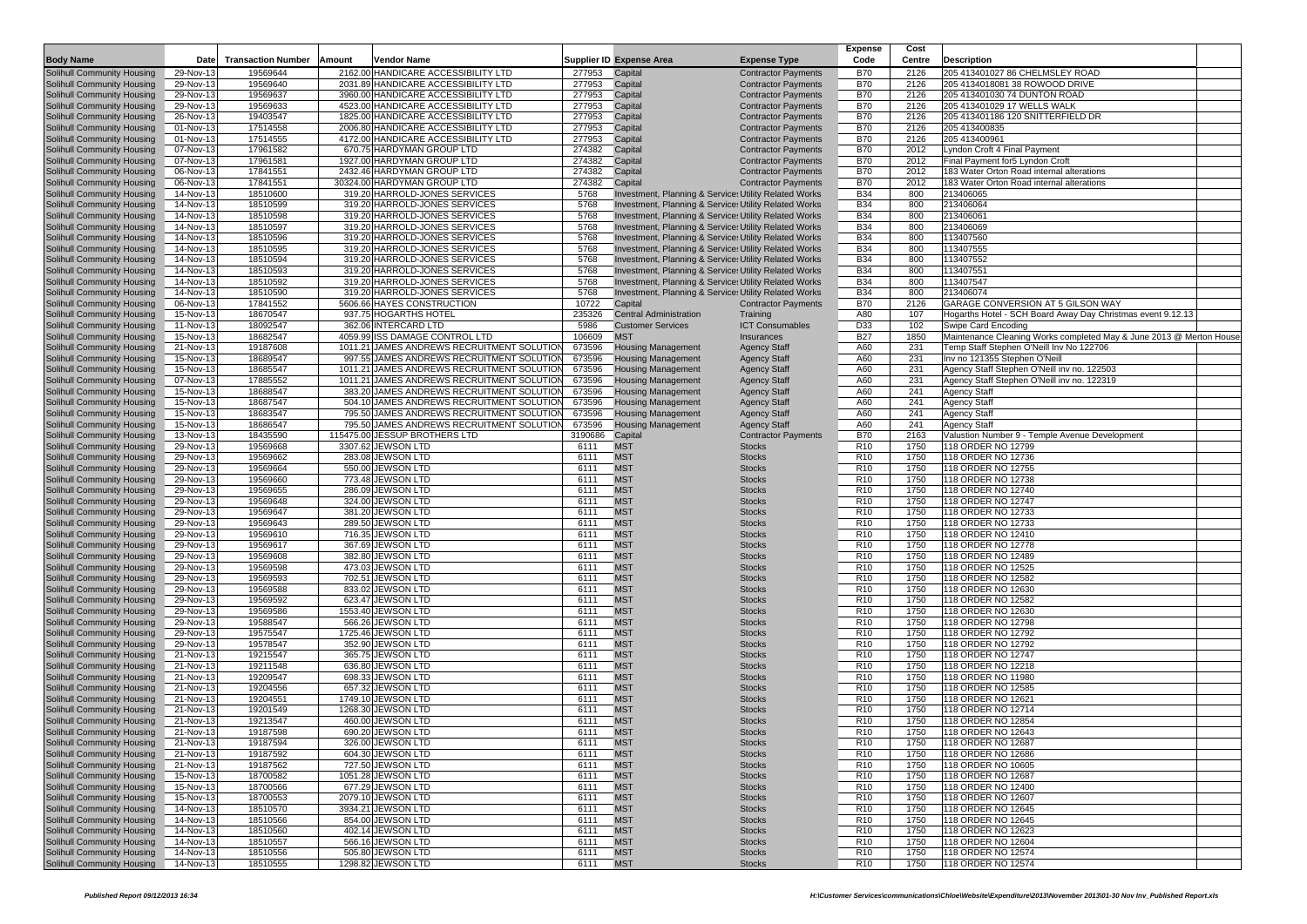|                                                          |                        |                           |                                                                                       |                  |                                                        |                                                                                                                | <b>Expense</b>                     | Cost         |                                                                     |
|----------------------------------------------------------|------------------------|---------------------------|---------------------------------------------------------------------------------------|------------------|--------------------------------------------------------|----------------------------------------------------------------------------------------------------------------|------------------------------------|--------------|---------------------------------------------------------------------|
| <b>Body Name</b>                                         | Date                   | <b>Transaction Number</b> | Amount<br><b>Vendor Name</b>                                                          |                  | <b>Supplier ID Expense Area</b>                        | <b>Expense Type</b>                                                                                            | Code                               | Centre       | <b>Description</b>                                                  |
| Solihull Community Housing                               | 29-Nov-13              | 19569644                  | 2162.00 HANDICARE ACCESSIBILITY LTD                                                   | 277953           | Capital                                                | <b>Contractor Payments</b>                                                                                     | <b>B70</b>                         | 2126         | 205 413401027 86 CHELMSLEY ROAD                                     |
| Solihull Community Housing                               | 29-Nov-13              | 19569640                  | 2031.89 HANDICARE ACCESSIBILITY LTD                                                   | 277953           | Capital                                                | <b>Contractor Payments</b>                                                                                     | <b>B70</b>                         | 2126         | 205 4134018081 38 ROWOOD DRIVE                                      |
| Solihull Community Housing                               | 29-Nov-13              | 19569637                  | 3960.00 HANDICARE ACCESSIBILITY LTD                                                   | 277953           | Capital                                                | <b>Contractor Payments</b>                                                                                     | <b>B70</b>                         | 2126         | 205 413401030 74 DUNTON ROAD                                        |
| Solihull Community Housing                               | 29-Nov-13              | 19569633                  | 4523.00 HANDICARE ACCESSIBILITY LTD<br>1825.00 HANDICARE ACCESSIBILITY LTD            | 277953           | Capital                                                | <b>Contractor Payments</b>                                                                                     | <b>B70</b><br><b>B70</b>           | 2126         | 205 413401029 17 WELLS WALK                                         |
| Solihull Community Housing<br>Solihull Community Housing | 26-Nov-13<br>01-Nov-13 | 19403547<br>17514558      | 2006.80 HANDICARE ACCESSIBILITY LTD                                                   | 277953<br>277953 | Capital<br>Capital                                     | <b>Contractor Payments</b><br><b>Contractor Payments</b>                                                       | <b>B70</b>                         | 2126<br>2126 | 205 413401186 120 SNITTERFIELD DR<br>205 413400835                  |
| Solihull Community Housing                               | 01-Nov-13              | 17514555                  | 4172.00 HANDICARE ACCESSIBILITY LTD                                                   | 277953           | Capital                                                | <b>Contractor Payments</b>                                                                                     | <b>B70</b>                         | 2126         | 205 413400961                                                       |
| Solihull Community Housing                               | 07-Nov-13              | 17961582                  | 670.75 HARDYMAN GROUP LTD                                                             | 274382           | Capital                                                | <b>Contractor Payments</b>                                                                                     | <b>B70</b>                         | 2012         | Lyndon Croft 4 Final Payment                                        |
| Solihull Community Housing                               | 07-Nov-13              | 17961581                  | 1927.00 HARDYMAN GROUP LTD                                                            | 274382           | Capital                                                | <b>Contractor Payments</b>                                                                                     | <b>B70</b>                         | 2012         | Final Payment for5 Lyndon Croft                                     |
| Solihull Community Housing                               | 06-Nov-13              | 17841551                  | 2432.46 HARDYMAN GROUP LTD                                                            | 274382           | Capital                                                | <b>Contractor Payments</b>                                                                                     | <b>B70</b>                         | 2012         | 183 Water Orton Road internal alterations                           |
| Solihull Community Housing                               | 06-Nov-13              | 17841551                  | 30324.00 HARDYMAN GROUP LTD                                                           | 274382           | Capital                                                | <b>Contractor Payments</b>                                                                                     | <b>B70</b>                         | 2012         | 183 Water Orton Road internal alterations                           |
| Solihull Community Housing                               | 14-Nov-13              | 18510600                  | 319.20 HARROLD-JONES SERVICES                                                         | 5768             |                                                        | Investment, Planning & Services Utility Related Works                                                          | <b>B34</b>                         | 800          | 213406065                                                           |
| Solihull Community Housing                               | 14-Nov-13              | 18510599                  | 319.20 HARROLD-JONES SERVICES                                                         | 5768             |                                                        | Investment, Planning & Service: Utility Related Works                                                          | <b>B34</b>                         | 800          | 213406064                                                           |
| Solihull Community Housing                               | 14-Nov-13              | 18510598                  | 319.20 HARROLD-JONES SERVICES                                                         | 5768             |                                                        | Investment, Planning & Service: Utility Related Works                                                          | <b>B34</b>                         | 800          | 213406061                                                           |
| Solihull Community Housing                               | 14-Nov-13              | 18510597                  | 319.20 HARROLD-JONES SERVICES                                                         | 5768             |                                                        | Investment, Planning & Service: Utility Related Works                                                          | B34                                | 800          | 213406069                                                           |
| Solihull Community Housing                               | 14-Nov-13              | 18510596                  | 319.20 HARROLD-JONES SERVICES<br>319.20 HARROLD-JONES SERVICES                        | 5768             |                                                        | Investment, Planning & Services Utility Related Works                                                          | B34                                | 800          | 113407560                                                           |
| Solihull Community Housing<br>Solihull Community Housing | 14-Nov-13              | 18510595                  |                                                                                       | 5768             |                                                        | Investment, Planning & Services Utility Related Works                                                          | <b>B34</b>                         | 800<br>800   | 113407555                                                           |
| Solihull Community Housing                               | 14-Nov-13<br>14-Nov-13 | 18510594<br>18510593      | 319.20 HARROLD-JONES SERVICES<br>319.20 HARROLD-JONES SERVICES                        | 5768<br>5768     |                                                        | Investment, Planning & Services Utility Related Works<br>Investment, Planning & Services Utility Related Works | B34<br><b>B34</b>                  | 800          | 113407552<br>113407551                                              |
| Solihull Community Housing                               | 14-Nov-13              | 18510592                  | 319.20 HARROLD-JONES SERVICES                                                         | 5768             |                                                        | Investment, Planning & Service: Utility Related Works                                                          | <b>B34</b>                         | 800          | 113407547                                                           |
| Solihull Community Housing                               | 14-Nov-13              | 18510590                  | 319.20 HARROLD-JONES SERVICES                                                         | 5768             |                                                        | Investment, Planning & Service: Utility Related Works                                                          | B34                                | 800          | 213406074                                                           |
| Solihull Community Housing                               | 06-Nov-13              | 17841552                  | 5606.66 HAYES CONSTRUCTION                                                            | 10722            | Capital                                                | <b>Contractor Payments</b>                                                                                     | <b>B70</b>                         | 2126         | GARAGE CONVERSION AT 5 GILSON WAY                                   |
| Solihull Community Housing                               | 15-Nov-13              | 18670547                  | 937.75 HOGARTHS HOTEL                                                                 | 235326           | <b>Central Administration</b>                          | Training                                                                                                       | A80                                | 107          | Hogarths Hotel - SCH Board Away Day Christmas event 9.12.13         |
| Solihull Community Housing                               | 11-Nov-13              | 18092547                  | 362.06 INTERCARD LTD                                                                  | 5986             | <b>Customer Services</b>                               | <b>ICT Consumables</b>                                                                                         | D33                                | 102          | Swipe Card Encoding                                                 |
| Solihull Community Housing                               | 15-Nov-13              | 18682547                  | 4059.99 ISS DAMAGE CONTROL LTD                                                        | 106609           | <b>MST</b>                                             | Insurances                                                                                                     | <b>B27</b>                         | 1850         | Maintenance Cleaning Works completed May & June 2013 @ Merton House |
| Solihull Community Housing                               | 21-Nov-13              | 19187608                  | 1011.21 JAMES ANDREWS RECRUITMENT SOLUTION                                            | 673596           | <b>Housing Management</b>                              | <b>Agency Staff</b>                                                                                            | A60                                | 231          | Temp Staff Stephen O'Neill Inv No 122706                            |
| Solihull Community Housing                               | 15-Nov-13              | 18689547                  | 997.55 JAMES ANDREWS RECRUITMENT SOLUTION                                             | 673596           | <b>Housing Management</b>                              | <b>Agency Staff</b>                                                                                            | A60                                | 231          | Inv no 121355 Stephen O'Neill                                       |
| Solihull Community Housing                               | 15-Nov-13              | 18685547                  | 1011.21 JAMES ANDREWS RECRUITMENT SOLUTION                                            | 673596           | <b>Housing Management</b>                              | <b>Agency Staff</b>                                                                                            | A60                                | 231          | Agency Staff Stephen O'Neill inv no. 122503                         |
| Solihull Community Housing                               | 07-Nov-13              | 17885552                  | 1011.21 JAMES ANDREWS RECRUITMENT SOLUTION                                            | 673596           | <b>Housing Management</b>                              | <b>Agency Staff</b>                                                                                            | A60                                | 231          | Agency Staff Stephen O'Neill inv no. 122319                         |
| Solihull Community Housing                               | 15-Nov-13              | 18688547                  | 383.20 JAMES ANDREWS RECRUITMENT SOLUTION                                             | 673596           | <b>Housing Management</b>                              | <b>Agency Staff</b>                                                                                            | A60                                | 241          | Agency Staff                                                        |
| Solihull Community Housing<br>Solihull Community Housing | 15-Nov-13              | 18687547                  | 504.10 JAMES ANDREWS RECRUITMENT SOLUTION                                             | 673596           | <b>Housing Management</b>                              | <b>Agency Staff</b>                                                                                            | A60<br>A60                         | 241          | Agency Staff                                                        |
| Solihull Community Housing                               | 15-Nov-13<br>15-Nov-13 | 18683547<br>18686547      | 795.50 JAMES ANDREWS RECRUITMENT SOLUTIO<br>795.50 JAMES ANDREWS RECRUITMENT SOLUTION | 673596<br>673596 | <b>Housing Management</b><br><b>Housing Management</b> | <b>Agency Staff</b><br><b>Agency Staff</b>                                                                     | A60                                | 241<br>241   | <b>Agency Staff</b><br><b>Agency Staff</b>                          |
| Solihull Community Housing                               | 13-Nov-13              | 18435590                  | 115475.00 JESSUP BROTHERS LTD                                                         | 3190686          | Capital                                                | <b>Contractor Payments</b>                                                                                     | <b>B70</b>                         | 2163         | Valustion Number 9 - Temple Avenue Development                      |
| Solihull Community Housing                               | 29-Nov-13              | 19569668                  | 3307.62 JEWSON LTD                                                                    | 6111             | <b>MST</b>                                             | <b>Stocks</b>                                                                                                  | R <sub>10</sub>                    | 1750         | 118 ORDER NO 12799                                                  |
| Solihull Community Housing                               | 29-Nov-13              | 19569662                  | 283.08 JEWSON LTD                                                                     | 6111             | <b>MST</b>                                             | <b>Stocks</b>                                                                                                  | R <sub>10</sub>                    | 1750         | 118 ORDER NO 12736                                                  |
| Solihull Community Housing                               | 29-Nov-13              | 19569664                  | 550.00 JEWSON LTD                                                                     | 6111             | <b>MST</b>                                             | <b>Stocks</b>                                                                                                  | R <sub>10</sub>                    | 1750         | 118 ORDER NO 12755                                                  |
| Solihull Community Housing                               | 29-Nov-13              | 19569660                  | 773.48 JEWSON LTD                                                                     | 6111             | <b>MST</b>                                             | <b>Stocks</b>                                                                                                  | R <sub>10</sub>                    | 1750         | 118 ORDER NO 12738                                                  |
| Solihull Community Housing                               | 29-Nov-13              | 19569655                  | 286.09 JEWSON LTD                                                                     | 6111             | <b>MST</b>                                             | <b>Stocks</b>                                                                                                  | R <sub>10</sub>                    | 1750         | 118 ORDER NO 12740                                                  |
| Solihull Community Housing                               | 29-Nov-13              | 19569648                  | 324.00 JEWSON LTD                                                                     | 6111             | <b>MST</b>                                             | <b>Stocks</b>                                                                                                  | R <sub>10</sub>                    | 1750         | 118 ORDER NO 12747                                                  |
| Solihull Community Housing                               | 29-Nov-13              | 19569647                  | 381.20 JEWSON LTD                                                                     | 6111             | <b>MST</b>                                             | <b>Stocks</b>                                                                                                  | R <sub>10</sub>                    | 1750         | 118 ORDER NO 12733                                                  |
| Solihull Community Housing                               | 29-Nov-13              | 19569643                  | 289.50 JEWSON LTD                                                                     | 6111             | <b>MST</b>                                             | <b>Stocks</b>                                                                                                  | R <sub>10</sub>                    | 1750         | 118 ORDER NO 12733                                                  |
| Solihull Community Housing                               | 29-Nov-13<br>29-Nov-13 | 19569610<br>19569617      | 716.35 JEWSON LTD                                                                     | 6111<br>6111     | <b>MST</b><br><b>MST</b>                               | <b>Stocks</b>                                                                                                  | R <sub>10</sub><br>R <sub>10</sub> | 1750<br>1750 | 118 ORDER NO 12410<br>118 ORDER NO 12778                            |
| Solihull Community Housing<br>Solihull Community Housing | 29-Nov-13              | 19569608                  | 367.69 JEWSON LTD<br>382.80 JEWSON LTD                                                | 6111             | <b>MST</b>                                             | <b>Stocks</b><br><b>Stocks</b>                                                                                 | R <sub>10</sub>                    | 1750         | 118 ORDER NO 12489                                                  |
| Solihull Community Housing                               | 29-Nov-13              | 19569598                  | 473.03 JEWSON LTD                                                                     | 6111             | <b>MST</b>                                             | <b>Stocks</b>                                                                                                  | R <sub>10</sub>                    | 1750         | 118 ORDER NO 12525                                                  |
| Solihull Community Housing                               | 29-Nov-13              | 19569593                  | 702.51 JEWSON LTD                                                                     | 6111             | <b>MST</b>                                             | <b>Stocks</b>                                                                                                  | R <sub>10</sub>                    | 1750         | 118 ORDER NO 12582                                                  |
| Solihull Community Housing                               | 29-Nov-13              | 19569588                  | 833.02 JEWSON LTD                                                                     | 6111             | <b>MST</b>                                             | <b>Stocks</b>                                                                                                  | R <sub>10</sub>                    | 1750         | 118 ORDER NO 12630                                                  |
| Solihull Community Housing                               | 29-Nov-13              | 19569592                  | 623.47 JEWSON LTD                                                                     | 6111             | <b>MST</b>                                             | <b>Stocks</b>                                                                                                  | R <sub>10</sub>                    | 1750         | 118 ORDER NO 12582                                                  |
| Solihull Community Housing                               | 29-Nov-13              | 19569586                  | 1553.40 JEWSON LTD                                                                    | 6111             | <b>MST</b>                                             | <b>Stocks</b>                                                                                                  | R <sub>10</sub>                    | 1750         | 118 ORDER NO 12630                                                  |
| Solihull Community Housing                               | 29-Nov-13              | 19588547                  | 566.26 JEWSON LTD                                                                     | 6111             | <b>MST</b>                                             | <b>Stocks</b>                                                                                                  | R <sub>10</sub>                    | 1750         | 118 ORDER NO 12798                                                  |
| Solihull Community Housing                               | 29-Nov-13              | 19575547                  | 1725.46 JEWSON LTD                                                                    | 6111             | <b>MST</b>                                             | <b>Stocks</b>                                                                                                  | R <sub>10</sub>                    | 1750         | 118 ORDER NO 12792                                                  |
| Solihull Community Housing                               | 29-Nov-13              | 19578547                  | 352.90 JEWSON LTD                                                                     | 6111             | <b>MST</b>                                             | <b>Stocks</b>                                                                                                  | R <sub>10</sub>                    | 1750         | 118 ORDER NO 12792<br>118 ORDER NO 12747                            |
| Solihull Community Housing                               | 21-Nov-13<br>21-Nov-13 | 19215547<br>19211548      | 365.75 JEWSON LTD<br>636.80 JEWSON LTD                                                | 6111<br>6111     | <b>MST</b><br><b>MST</b>                               | <b>Stocks</b><br><b>Stocks</b>                                                                                 | R <sub>10</sub><br>R <sub>10</sub> | 1750<br>1750 | 118 ORDER NO 12218                                                  |
| Solihull Community Housing<br>Solihull Community Housing | 21-Nov-13              | 19209547                  | 698.33 JEWSON LTD                                                                     | 6111             | <b>MST</b>                                             | <b>Stocks</b>                                                                                                  | R <sub>10</sub>                    | 1750         | 118 ORDER NO 11980                                                  |
| Solihull Community Housing                               | 21-Nov-13              | 19204556                  | 657.32 JEWSON LTD                                                                     | 6111             | <b>MST</b>                                             | <b>Stocks</b>                                                                                                  | R <sub>10</sub>                    | 1750         | 118 ORDER NO 12585                                                  |
| Solihull Community Housing                               | 21-Nov-13              | 19204551                  | 1749.10 JEWSON LTD                                                                    | 6111             | <b>MST</b>                                             | <b>Stocks</b>                                                                                                  | R <sub>10</sub>                    | 1750         | 118 ORDER NO 12621                                                  |
| Solihull Community Housing                               | 21-Nov-13              | 19201549                  | 1268.30 JEWSON LTD                                                                    | 6111             | <b>MST</b>                                             | <b>Stocks</b>                                                                                                  | R <sub>10</sub>                    | 1750         | 118 ORDER NO 12714                                                  |
| Solihull Community Housing                               | 21-Nov-13              | 19213547                  | 460.00 JEWSON LTD                                                                     | 6111             | <b>MST</b>                                             | <b>Stocks</b>                                                                                                  | R <sub>10</sub>                    | 1750         | 118 ORDER NO 12854                                                  |
| Solihull Community Housing                               | 21-Nov-13              | 19187598                  | 690.20 JEWSON LTD                                                                     | 6111             | <b>MST</b>                                             | <b>Stocks</b>                                                                                                  | R <sub>10</sub>                    | 1750         | 118 ORDER NO 12643                                                  |
| Solihull Community Housing                               | 21-Nov-13              | 19187594                  | 326.00 JEWSON LTD                                                                     | 6111             | <b>MST</b>                                             | <b>Stocks</b>                                                                                                  | R <sub>10</sub>                    | 1750         | 118 ORDER NO 12687                                                  |
| Solihull Community Housing                               | 21-Nov-13              | 19187592                  | 604.30 JEWSON LTD                                                                     | 6111             | <b>MST</b>                                             | <b>Stocks</b>                                                                                                  | R <sub>10</sub>                    | 1750         | 118 ORDER NO 12686                                                  |
| Solihull Community Housing                               | 21-Nov-13              | 19187562                  | 727.50 JEWSON LTD                                                                     | 6111             | <b>MST</b>                                             | <b>Stocks</b>                                                                                                  | R <sub>10</sub>                    | 1750         | 118 ORDER NO 10605                                                  |
| Solihull Community Housing                               | 15-Nov-13              | 18700582                  | 1051.28 JEWSON LTD                                                                    | 6111             | <b>MST</b>                                             | <b>Stocks</b>                                                                                                  | R <sub>10</sub>                    | 1750         | 118 ORDER NO 12687                                                  |
| Solihull Community Housing                               | 15-Nov-13              | 18700566                  | 677.29 JEWSON LTD                                                                     | 6111             | <b>MST</b>                                             | <b>Stocks</b>                                                                                                  | R <sub>10</sub>                    | 1750         | 118 ORDER NO 12400                                                  |
| Solihull Community Housing<br>Solihull Community Housing | 15-Nov-13<br>14-Nov-13 | 18700553<br>18510570      | 2079.10 JEWSON LTD<br>3934.21 JEWSON LTD                                              | 6111<br>6111     | <b>MST</b><br><b>MST</b>                               | <b>Stocks</b><br><b>Stocks</b>                                                                                 | R <sub>10</sub><br>R <sub>10</sub> | 1750<br>1750 | 118 ORDER NO 12607<br>118 ORDER NO 12645                            |
| Solihull Community Housing                               | 14-Nov-13              | 18510566                  | 854.00 JEWSON LTD                                                                     | 6111             | <b>MST</b>                                             | <b>Stocks</b>                                                                                                  | R <sub>10</sub>                    | 1750         | 118 ORDER NO 12645                                                  |
| Solihull Community Housing                               | 14-Nov-13              | 18510560                  | 402.14 JEWSON LTD                                                                     | 6111             | <b>MST</b>                                             | <b>Stocks</b>                                                                                                  | R <sub>10</sub>                    | 1750         | 118 ORDER NO 12623                                                  |
| Solihull Community Housing                               | 14-Nov-13              | 18510557                  | 566.16 JEWSON LTD                                                                     | 6111             | <b>MST</b>                                             | <b>Stocks</b>                                                                                                  | R <sub>10</sub>                    | 1750         | 118 ORDER NO 12604                                                  |
| Solihull Community Housing                               | 14-Nov-13              | 18510556                  | 505.80 JEWSON LTD                                                                     | 6111             | <b>MST</b>                                             | <b>Stocks</b>                                                                                                  | R <sub>10</sub>                    | 1750         | 118 ORDER NO 12574                                                  |
| Solihull Community Housing                               | 14-Nov-13              | 18510555                  | 1298.82 JEWSON LTD                                                                    | 6111             | <b>MST</b>                                             | <b>Stocks</b>                                                                                                  | R <sub>10</sub>                    | 1750         | 118 ORDER NO 12574                                                  |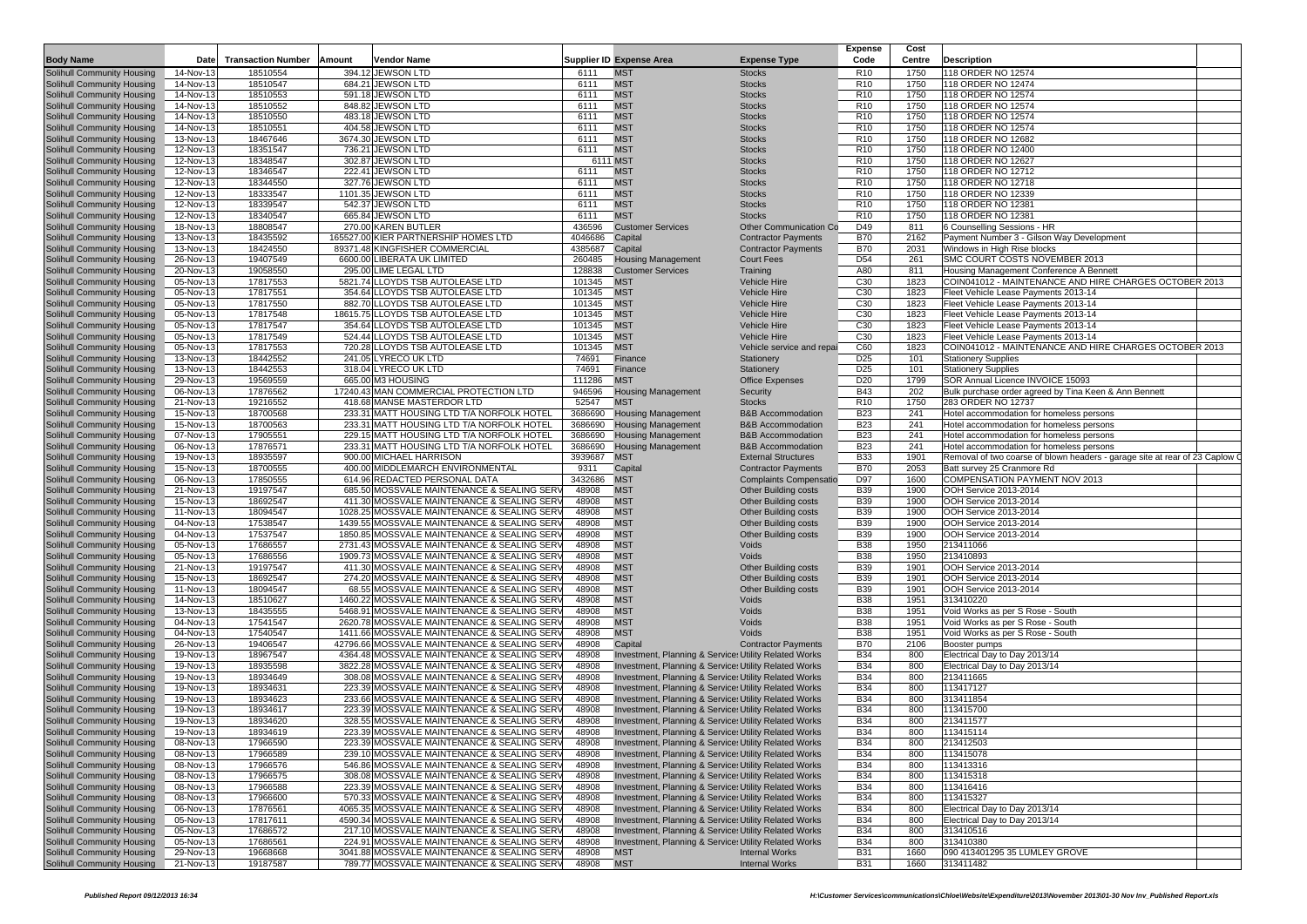|                                                                    |                        |                           |        |                                                                                             |                    |                                                                                                                |                                                              | <b>Expense</b>                     | Cost         |                                                                                      |
|--------------------------------------------------------------------|------------------------|---------------------------|--------|---------------------------------------------------------------------------------------------|--------------------|----------------------------------------------------------------------------------------------------------------|--------------------------------------------------------------|------------------------------------|--------------|--------------------------------------------------------------------------------------|
| <b>Body Name</b>                                                   | Date                   | <b>Transaction Number</b> | Amount | <b>Vendor Name</b>                                                                          |                    | <b>Supplier ID Expense Area</b>                                                                                | <b>Expense Type</b>                                          | Code                               | Centre       | Description                                                                          |
| Solihull Community Housing                                         | 14-Nov-13              | 18510554                  |        | 394.12 JEWSON LTD                                                                           | 6111               | <b>MST</b>                                                                                                     | <b>Stocks</b>                                                | R <sub>10</sub>                    | 1750         | 118 ORDER NO 12574                                                                   |
| Solihull Community Housing                                         | 14-Nov-13              | 18510547                  |        | 684.21 JEWSON LTD                                                                           | 6111               | <b>MST</b>                                                                                                     | <b>Stocks</b>                                                | R <sub>10</sub>                    | 1750         | 118 ORDER NO 12474                                                                   |
| Solihull Community Housing                                         | 14-Nov-13              | 18510553                  |        | 591.18 JEWSON LTD                                                                           | 6111               | <b>MST</b>                                                                                                     | <b>Stocks</b>                                                | R <sub>10</sub><br>R <sub>10</sub> | 1750         | 118 ORDER NO 12574<br>118 ORDER NO 12574                                             |
| Solihull Community Housing<br>Solihull Community Housing           | 14-Nov-13<br>14-Nov-13 | 18510552<br>18510550      |        | 848.82 JEWSON LTD<br>483.18 JEWSON LTD                                                      | 6111<br>6111       | <b>MST</b><br><b>MST</b>                                                                                       | <b>Stocks</b><br><b>Stocks</b>                               | R <sub>10</sub>                    | 1750<br>1750 | 118 ORDER NO 12574                                                                   |
| Solihull Community Housing                                         | 14-Nov-13              | 18510551                  |        | 404.58 JEWSON LTD                                                                           | 6111               | <b>MST</b>                                                                                                     | <b>Stocks</b>                                                | R <sub>10</sub>                    | 1750         | 118 ORDER NO 12574                                                                   |
| Solihull Community Housing                                         | 13-Nov-13              | 18467646                  |        | 3674.30 JEWSON LTD                                                                          | 6111               | <b>MST</b>                                                                                                     | <b>Stocks</b>                                                | R <sub>10</sub>                    | 1750         | 118 ORDER NO 12682                                                                   |
| Solihull Community Housing                                         | 12-Nov-13              | 18351547                  |        | 736.21 JEWSON LTD                                                                           | 6111               | <b>MST</b>                                                                                                     | <b>Stocks</b>                                                | R <sub>10</sub>                    | 1750         | 118 ORDER NO 12400                                                                   |
| Solihull Community Housing                                         | 12-Nov-13              | 18348547                  |        | 302.87 JEWSON LTD                                                                           |                    | 6111 MST                                                                                                       | <b>Stocks</b>                                                | R <sub>10</sub>                    | 1750         | 118 ORDER NO 12627                                                                   |
| Solihull Community Housing                                         | 12-Nov-13              | 18346547                  |        | 222.41 JEWSON LTD                                                                           | 6111               | <b>MST</b>                                                                                                     | <b>Stocks</b>                                                | R <sub>10</sub>                    | 1750         | 118 ORDER NO 12712                                                                   |
| Solihull Community Housing                                         | 12-Nov-13              | 18344550                  |        | 327.76 JEWSON LTD                                                                           | 6111               | <b>MST</b>                                                                                                     | <b>Stocks</b>                                                | R <sub>10</sub>                    | 1750         | 118 ORDER NO 12718                                                                   |
| Solihull Community Housing                                         | 12-Nov-13              | 18333547                  |        | 1101.35 JEWSON LTD                                                                          | 6111               | <b>MST</b>                                                                                                     | <b>Stocks</b>                                                | R <sub>10</sub>                    | 1750         | 118 ORDER NO 12339                                                                   |
| Solihull Community Housing<br>Solihull Community Housing           | 12-Nov-13<br>12-Nov-13 | 18339547<br>18340547      |        | 542.37 JEWSON LTD<br>665.84 JEWSON LTD                                                      | 6111<br>6111       | <b>MST</b><br><b>MST</b>                                                                                       | <b>Stocks</b><br><b>Stocks</b>                               | R <sub>10</sub><br>R <sub>10</sub> | 1750<br>1750 | 118 ORDER NO 12381<br>118 ORDER NO 12381                                             |
| Solihull Community Housing                                         | 18-Nov-13              | 18808547                  |        | 270.00 KAREN BUTLER                                                                         | 436596             | <b>Customer Services</b>                                                                                       | Other Communication Co                                       | D49                                | 811          | 6 Counselling Sessions - HR                                                          |
| Solihull Community Housing                                         | 13-Nov-13              | 18435592                  |        | 165527.00 KIER PARTNERSHIP HOMES LTD                                                        | 4046686            | Capital                                                                                                        | <b>Contractor Payments</b>                                   | <b>B70</b>                         | 2162         | Payment Number 3 - Gilson Way Development                                            |
| Solihull Community Housing                                         | 13-Nov-13              | 18424550                  |        | 89371.48 KINGFISHER COMMERCIAL                                                              | 4385687            | Capital                                                                                                        | <b>Contractor Payments</b>                                   | <b>B70</b>                         | 2031         | Windows in High Rise blocks                                                          |
| Solihull Community Housing                                         | 26-Nov-13              | 19407549                  |        | 6600.00 LIBERATA UK LIMITED                                                                 | 260485             | <b>Housing Management</b>                                                                                      | <b>Court Fees</b>                                            | D <sub>54</sub>                    | 261          | SMC COURT COSTS NOVEMBER 2013                                                        |
| Solihull Community Housing                                         | 20-Nov-13              | 19058550                  |        | 295.00 LIME LEGAL LTD                                                                       | 128838             | <b>Customer Services</b>                                                                                       | Training                                                     | A80                                | 811          | Housing Management Conference A Bennett                                              |
| Solihull Community Housing                                         | 05-Nov-13              | 17817553                  |        | 5821.74 LLOYDS TSB AUTOLEASE LTD                                                            | 101345             | <b>MST</b>                                                                                                     | <b>Vehicle Hire</b>                                          | C30                                | 1823         | COIN041012 - MAINTENANCE AND HIRE CHARGES OCTOBER 2013                               |
| Solihull Community Housing                                         | 05-Nov-13              | 17817551                  |        | 354.64 LLOYDS TSB AUTOLEASE LTD                                                             | 101345             | <b>MST</b>                                                                                                     | <b>Vehicle Hire</b>                                          | C30                                | 1823         | Fleet Vehicle Lease Payments 2013-14                                                 |
| Solihull Community Housing                                         | 05-Nov-13              | 17817550                  |        | 882.70 LLOYDS TSB AUTOLEASE LTD                                                             | 101345             | <b>MST</b>                                                                                                     | <b>Vehicle Hire</b>                                          | C30                                | 1823         | Fleet Vehicle Lease Payments 2013-14                                                 |
| Solihull Community Housing<br>Solihull Community Housing           | 05-Nov-13<br>05-Nov-13 | 17817548<br>17817547      |        | 18615.75 LLOYDS TSB AUTOLEASE LTD<br>354.64 LLOYDS TSB AUTOLEASE LTD                        | 101345<br>101345   | <b>MST</b><br><b>MST</b>                                                                                       | <b>Vehicle Hire</b><br>Vehicle Hire                          | C30<br>C30                         | 1823<br>1823 | Fleet Vehicle Lease Payments 2013-14<br>Fleet Vehicle Lease Payments 2013-14         |
| Solihull Community Housing                                         | 05-Nov-13              | 17817549                  |        | 524.44 LLOYDS TSB AUTOLEASE LTD                                                             | 101345             | <b>MST</b>                                                                                                     | <b>Vehicle Hire</b>                                          | C30                                | 1823         | Fleet Vehicle Lease Payments 2013-14                                                 |
| Solihull Community Housing                                         | 05-Nov-13              | 17817553                  |        | 720.28 LLOYDS TSB AUTOLEASE LTD                                                             | 101345             | <b>MST</b>                                                                                                     | Vehicle service and repai                                    | C60                                | 1823         | COIN041012 - MAINTENANCE AND HIRE CHARGES OCTOBER 2013                               |
| Solihull Community Housing                                         | 13-Nov-13              | 18442552                  |        | 241.05 LYRECO UK LTD                                                                        | 74691              | Finance                                                                                                        | Stationery                                                   | D <sub>25</sub>                    | 101          | <b>Stationery Supplies</b>                                                           |
| Solihull Community Housing                                         | 13-Nov-13              | 18442553                  |        | 318.04 LYRECO UK LTD                                                                        | 74691              | Finance                                                                                                        | Stationery                                                   | D <sub>25</sub>                    | 101          | <b>Stationery Supplies</b>                                                           |
| Solihull Community Housing                                         | 29-Nov-13              | 19569559                  |        | 665.00 M3 HOUSING                                                                           | 111286             | <b>MST</b>                                                                                                     | <b>Office Expenses</b>                                       | D <sub>20</sub>                    | 1799         | SOR Annual Licence INVOICE 15093                                                     |
| Solihull Community Housing                                         | 06-Nov-13              | 17876562                  |        | 17240.43 MAN COMMERCIAL PROTECTION LTD                                                      | 946596             | <b>Housing Management</b>                                                                                      | Security                                                     | <b>B43</b>                         | 202          | Bulk purchase order agreed by Tina Keen & Ann Bennett                                |
| Solihull Community Housing                                         | 21-Nov-13              | 19216552                  |        | 418.68 MANSE MASTERDOR LTD                                                                  | 52547              | <b>MST</b>                                                                                                     | <b>Stocks</b>                                                | R <sub>10</sub>                    | 1750         | 283 ORDER NO 12737                                                                   |
| Solihull Community Housing                                         | 15-Nov-13              | 18700568                  |        | 233.31 MATT HOUSING LTD T/A NORFOLK HOTEL                                                   | 3686690            | <b>Housing Management</b>                                                                                      | <b>B&amp;B</b> Accommodation                                 | <b>B23</b>                         | 241          | Hotel accommodation for homeless persons                                             |
| Solihull Community Housing                                         | 15-Nov-13              | 18700563                  |        | 233.31 MATT HOUSING LTD T/A NORFOLK HOTEL                                                   | 3686690            | <b>Housing Management</b>                                                                                      | <b>B&amp;B Accommodation</b>                                 | <b>B23</b>                         | 241          | Hotel accommodation for homeless persons                                             |
| Solihull Community Housing<br>Solihull Community Housing           | 07-Nov-13<br>06-Nov-13 | 17905551<br>17876571      |        | 229.15 MATT HOUSING LTD T/A NORFOLK HOTEL<br>233.31 MATT HOUSING LTD T/A NORFOLK HOTEL      | 3686690<br>3686690 | <b>Housing Management</b><br><b>Housing Management</b>                                                         | <b>B&amp;B Accommodation</b><br><b>B&amp;B Accommodation</b> | <b>B23</b><br><b>B23</b>           | 241<br>241   | Hotel accommodation for homeless persons<br>Hotel accommodation for homeless persons |
| Solihull Community Housing                                         | 19-Nov-13              | 18935597                  |        | 900.00 MICHAEL HARRISON                                                                     | 3939687            | <b>MST</b>                                                                                                     | <b>External Structures</b>                                   | <b>B33</b>                         | 1901         | Removal of two coarse of blown headers - garage site at rear of 23 Caplow Q          |
| Solihull Community Housing                                         | 15-Nov-13              | 18700555                  |        | 400.00 MIDDLEMARCH ENVIRONMENTAL                                                            | 9311               | Capital                                                                                                        | <b>Contractor Payments</b>                                   | <b>B70</b>                         | 2053         | Batt survey 25 Cranmore Rd                                                           |
| Solihull Community Housing                                         | 06-Nov-13              | 17850555                  |        | 614.96 REDACTED PERSONAL DATA                                                               | 3432686            | <b>MST</b>                                                                                                     | <b>Complaints Compensatio</b>                                | D97                                | 1600         | COMPENSATION PAYMENT NOV 2013                                                        |
| Solihull Community Housing                                         | 21-Nov-13              | 19197547                  |        | 685.50 MOSSVALE MAINTENANCE & SEALING SERV                                                  | 48908              | <b>MST</b>                                                                                                     | <b>Other Building costs</b>                                  | <b>B39</b>                         | 1900         | OOH Service 2013-2014                                                                |
| Solihull Community Housing                                         | 15-Nov-13              | 18692547                  |        | 411.30 MOSSVALE MAINTENANCE & SEALING SERV                                                  | 48908              | <b>MST</b>                                                                                                     | Other Building costs                                         | <b>B39</b>                         | 1900         | OOH Service 2013-2014                                                                |
| Solihull Community Housing                                         | 11-Nov-13              | 18094547                  |        | 1028.25 MOSSVALE MAINTENANCE & SEALING SERV                                                 | 48908              | <b>MST</b>                                                                                                     | Other Building costs                                         | <b>B39</b>                         | 1900         | OOH Service 2013-2014                                                                |
| Solihull Community Housing                                         | 04-Nov-13              | 17538547                  |        | 1439.55 MOSSVALE MAINTENANCE & SEALING SERV                                                 | 48908              | <b>MST</b><br><b>MST</b>                                                                                       | Other Building costs                                         | <b>B39</b>                         | 1900         | OOH Service 2013-2014                                                                |
| Solihull Community Housing<br>Solihull Community Housing           | 04-Nov-13<br>05-Nov-13 | 17537547<br>17686557      |        | 1850.85 MOSSVALE MAINTENANCE & SEALING SERV<br>2731.43 MOSSVALE MAINTENANCE & SEALING SERV  | 48908<br>48908     | <b>MST</b>                                                                                                     | <b>Other Building costs</b><br>Voids                         | <b>B39</b><br><b>B38</b>           | 1900<br>1950 | OOH Service 2013-2014<br>213411066                                                   |
| Solihull Community Housing                                         | 05-Nov-13              | 17686556                  |        | 1909.73 MOSSVALE MAINTENANCE & SEALING SERV                                                 | 48908              | <b>MST</b>                                                                                                     | Voids                                                        | <b>B38</b>                         | 1950         | 213410893                                                                            |
| Solihull Community Housing                                         | 21-Nov-13              | 19197547                  |        | 411.30 MOSSVALE MAINTENANCE & SEALING SERV                                                  | 48908              | <b>MST</b>                                                                                                     | <b>Other Building costs</b>                                  | <b>B39</b>                         | 1901         | OOH Service 2013-2014                                                                |
| Solihull Community Housing                                         | 15-Nov-13              | 18692547                  |        | 274.20 MOSSVALE MAINTENANCE & SEALING SERV                                                  | 48908              | <b>MST</b>                                                                                                     | Other Building costs                                         | <b>B39</b>                         | 1901         | OOH Service 2013-2014                                                                |
| Solihull Community Housing                                         | 11-Nov-13              | 18094547                  |        | 68.55 MOSSVALE MAINTENANCE & SEALING SERY                                                   | 48908              | <b>MST</b>                                                                                                     | <b>Other Building costs</b>                                  | B39                                | 1901         | OOH Service 2013-2014                                                                |
| Solihull Community Housing                                         | 14-Nov-13              | 18510627                  |        | 1460.22 MOSSVALE MAINTENANCE & SEALING SERV                                                 | 48908              | <b>MST</b>                                                                                                     | Voids                                                        | <b>B38</b>                         | 1951         | 313410220                                                                            |
| Solihull Community Housing                                         | 13-Nov-13              | 18435555                  |        | 5468.91 MOSSVALE MAINTENANCE & SEALING SERV                                                 | 48908              | <b>MST</b>                                                                                                     | Voids                                                        | <b>B38</b>                         | 1951         | Void Works as per S Rose - South                                                     |
| Solihull Community Housing                                         | 04-Nov-13              | 17541547                  |        | 2620.78 MOSSVALE MAINTENANCE & SEALING SERY                                                 | 48908              | <b>MST</b>                                                                                                     | Voids                                                        | <b>B38</b>                         | 1951         | Void Works as per S Rose - South                                                     |
| Solihull Community Housing<br>Solihull Community Housing           | 04-Nov-13<br>26-Nov-13 | 17540547<br>19406547      |        | 1411.66 MOSSVALE MAINTENANCE & SEALING SERV<br>42796.66 MOSSVALE MAINTENANCE & SEALING SERV | 48908<br>48908     | <b>MST</b><br>Capital                                                                                          | Voids<br><b>Contractor Payments</b>                          | <b>B38</b><br><b>B70</b>           | 1951<br>2106 | Void Works as per S Rose - South<br>Booster pumps                                    |
| Solihull Community Housing                                         | 19-Nov-13              | 18967547                  |        | 4364.48 MOSSVALE MAINTENANCE & SEALING SERY                                                 | 48908              | Investment, Planning & Services Utility Related Works                                                          |                                                              | <b>B34</b>                         | 800          | Electrical Day to Day 2013/14                                                        |
| Solihull Community Housing                                         | 19-Nov-13              | 18935598                  |        | 3822.28 MOSSVALE MAINTENANCE & SEALING SERY                                                 | 48908              | Investment, Planning & Services Utility Related Works                                                          |                                                              | B34                                | 800          | Electrical Day to Day 2013/14                                                        |
| Solihull Community Housing                                         | 19-Nov-13              | 18934649                  |        | 308.08 MOSSVALE MAINTENANCE & SEALING SERY                                                  | 48908              | Investment, Planning & Services Utility Related Works                                                          |                                                              | B34                                | 800          | 213411665                                                                            |
| Solihull Community Housing                                         | 19-Nov-13              | 18934631                  |        | 223.39 MOSSVALE MAINTENANCE & SEALING SERY                                                  | 48908              | Investment, Planning & Services Utility Related Works                                                          |                                                              | <b>B34</b>                         | 800          | 113417127                                                                            |
| Solihull Community Housing                                         | 19-Nov-13              | 18934623                  |        | 233.66 MOSSVALE MAINTENANCE & SEALING SERV                                                  | 48908              | Investment, Planning & Services Utility Related Works                                                          |                                                              | B34                                | 800          | 313411854                                                                            |
| Solihull Community Housing                                         | 19-Nov-13              | 18934617                  |        | 223.39 MOSSVALE MAINTENANCE & SEALING SERY                                                  | 48908              | Investment, Planning & Services Utility Related Works                                                          |                                                              | B34                                | 800          | 113415700                                                                            |
| Solihull Community Housing                                         | 19-Nov-13              | 18934620                  |        | 328.55 MOSSVALE MAINTENANCE & SEALING SER                                                   | 48908              | Investment, Planning & Services Utility Related Works                                                          |                                                              | B34                                | 800          | 213411577                                                                            |
| Solihull Community Housing                                         | 19-Nov-13<br>08-Nov-13 | 18934619<br>17966590      |        | 223.39 MOSSVALE MAINTENANCE & SEALING SERV<br>223.39 MOSSVALE MAINTENANCE & SEALING SERV    | 48908<br>48908     | Investment, Planning & Services Utility Related Works<br>Investment, Planning & Services Utility Related Works |                                                              | B34<br><b>B34</b>                  | 800<br>800   | 113415114<br>213412503                                                               |
| Solihull Community Housing<br>Solihull Community Housing           | 08-Nov-13              | 17966589                  |        | 239.10 MOSSVALE MAINTENANCE & SEALING SERV                                                  | 48908              | Investment, Planning & Services Utility Related Works                                                          |                                                              | B34                                | 800          | 113415078                                                                            |
| Solihull Community Housing                                         | 08-Nov-13              | 17966576                  |        | 546.86 MOSSVALE MAINTENANCE & SEALING SERV                                                  | 48908              | Investment, Planning & Services Utility Related Works                                                          |                                                              | <b>B34</b>                         | 800          | 113413316                                                                            |
| Solihull Community Housing                                         | 08-Nov-13              | 17966575                  |        | 308.08 MOSSVALE MAINTENANCE & SEALING SERV                                                  | 48908              | Investment, Planning & Services Utility Related Works                                                          |                                                              | <b>B34</b>                         | 800          | 113415318                                                                            |
| Solihull Community Housing                                         | 08-Nov-13              | 17966588                  |        | 223.39 MOSSVALE MAINTENANCE & SEALING SERV                                                  | 48908              | Investment, Planning & Services Utility Related Works                                                          |                                                              | B34                                | 800          | 113416416                                                                            |
| Solihull Community Housing                                         | 08-Nov-13              | 17966600                  |        | 570.33 MOSSVALE MAINTENANCE & SEALING SERV                                                  | 48908              | Investment, Planning & Services Utility Related Works                                                          |                                                              | B34                                | 800          | 113415327                                                                            |
| Solihull Community Housing                                         | 06-Nov-13              | 17876561                  |        | 4065.35 MOSSVALE MAINTENANCE & SEALING SERV                                                 | 48908              | Investment, Planning & Services Utility Related Works                                                          |                                                              | <b>B34</b>                         | 800          | Electrical Day to Day 2013/14                                                        |
| Solihull Community Housing                                         | 05-Nov-13              | 17817611                  |        | 4590.34 MOSSVALE MAINTENANCE & SEALING SERV                                                 | 48908              | Investment, Planning & Services Utility Related Works                                                          |                                                              | B34                                | 800          | Electrical Day to Day 2013/14                                                        |
| Solihull Community Housing                                         | 05-Nov-13              | 17686572                  |        | 217.10 MOSSVALE MAINTENANCE & SEALING SERV                                                  | 48908              | Investment, Planning & Services Utility Related Works                                                          |                                                              | B34                                | 800          | 313410516                                                                            |
| <b>Solihull Community Housing</b>                                  | 05-Nov-13              | 17686561                  |        | 224.91 MOSSVALE MAINTENANCE & SEALING SERV                                                  | 48908              | Investment, Planning & Services Utility Related Works                                                          |                                                              | <b>B34</b>                         | 800          | 313410380                                                                            |
| Solihull Community Housing<br>Solihull Community Housing 21-Nov-13 | 29-Nov-13              | 19668668<br>19187587      |        | 3041.88 MOSSVALE MAINTENANCE & SEALING SERV<br>789.77 MOSSVALE MAINTENANCE & SEALING SERV   | 48908<br>48908     | <b>MST</b><br><b>MST</b>                                                                                       | <b>Internal Works</b><br><b>Internal Works</b>               | <b>B31</b><br><b>B31</b>           | 1660<br>1660 | 090 413401295 35 LUMLEY GROVE<br>313411482                                           |
|                                                                    |                        |                           |        |                                                                                             |                    |                                                                                                                |                                                              |                                    |              |                                                                                      |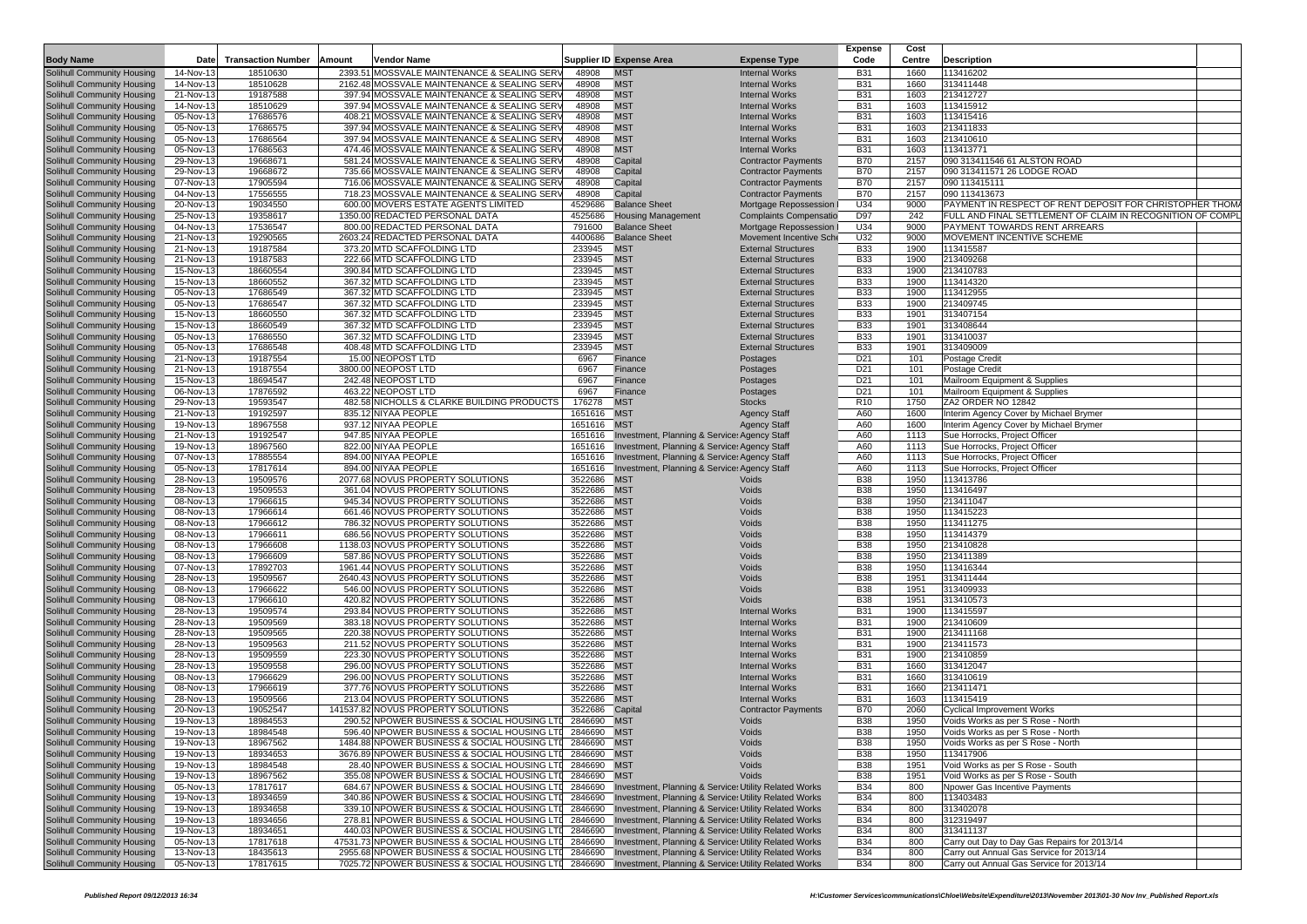|                                                                 |                        |                           |        |                                                                                                            |                    |                                                                                                                        |                                                          | <b>Expense</b>           | Cost         |                                                                                          |
|-----------------------------------------------------------------|------------------------|---------------------------|--------|------------------------------------------------------------------------------------------------------------|--------------------|------------------------------------------------------------------------------------------------------------------------|----------------------------------------------------------|--------------------------|--------------|------------------------------------------------------------------------------------------|
| <b>Body Name</b>                                                | Date                   | <b>Transaction Number</b> | Amount | <b>Vendor Name</b>                                                                                         |                    | <b>Supplier ID Expense Area</b>                                                                                        | <b>Expense Type</b>                                      | Code                     | Centre       | Description                                                                              |
| Solihull Community Housing                                      | 14-Nov-13              | 18510630                  |        | 2393.51 MOSSVALE MAINTENANCE & SEALING SERV                                                                | 48908              | <b>MST</b>                                                                                                             | <b>Internal Works</b>                                    | <b>B31</b>               | 1660         | 113416202                                                                                |
| Solihull Community Housing                                      | 14-Nov-13              | 18510628                  |        | 2162.48 MOSSVALE MAINTENANCE & SEALING SERV                                                                | 48908              | <b>MST</b>                                                                                                             | <b>Internal Works</b>                                    | <b>B31</b>               | 1660         | 313411448                                                                                |
| Solihull Community Housing                                      | 21-Nov-13              | 19187588                  |        | 397.94 MOSSVALE MAINTENANCE & SEALING SERV                                                                 | 48908              | <b>MST</b>                                                                                                             | <b>Internal Works</b>                                    | <b>B31</b>               | 1603         | 213412727                                                                                |
| Solihull Community Housing                                      | 14-Nov-13              | 18510629                  |        | 397.94 MOSSVALE MAINTENANCE & SEALING SERV                                                                 | 48908              | <b>MST</b>                                                                                                             | <b>Internal Works</b>                                    | <b>B31</b>               | 1603         | 113415912                                                                                |
| Solihull Community Housing                                      | 05-Nov-13              | 17686576                  |        | 408.21 MOSSVALE MAINTENANCE & SEALING SERV<br>397.94 MOSSVALE MAINTENANCE & SEALING SERV                   | 48908              | <b>MST</b>                                                                                                             | <b>Internal Works</b>                                    | <b>B31</b>               | 1603         | 113415416                                                                                |
| Solihull Community Housing<br>Solihull Community Housing        | 05-Nov-13<br>05-Nov-13 | 17686575<br>17686564      |        | 397.94 MOSSVALE MAINTENANCE & SEALING SERV                                                                 | 48908<br>48908     | <b>MST</b><br><b>MST</b>                                                                                               | <b>Internal Works</b>                                    | <b>B31</b><br><b>B31</b> | 1603<br>1603 | 213411833<br>213410610                                                                   |
| Solihull Community Housing                                      | 05-Nov-13              | 17686563                  |        | 474.46 MOSSVALE MAINTENANCE & SEALING SERV                                                                 | 48908              | <b>MST</b>                                                                                                             | <b>Internal Works</b><br><b>Internal Works</b>           | <b>B31</b>               | 1603         | 113413771                                                                                |
| Solihull Community Housing                                      | 29-Nov-13              | 19668671                  |        | 581.24 MOSSVALE MAINTENANCE & SEALING SERV                                                                 | 48908              | Capital                                                                                                                | <b>Contractor Payments</b>                               | <b>B70</b>               | 2157         | 090 313411546 61 ALSTON ROAD                                                             |
| Solihull Community Housing                                      | 29-Nov-13              | 19668672                  |        | 735.66 MOSSVALE MAINTENANCE & SEALING SERV                                                                 | 48908              | Capital                                                                                                                | <b>Contractor Payments</b>                               | <b>B70</b>               | 2157         | 090 313411571 26 LODGE ROAD                                                              |
| Solihull Community Housing                                      | 07-Nov-13              | 17905594                  |        | 716.06 MOSSVALE MAINTENANCE & SEALING SERV                                                                 | 48908              | Capital                                                                                                                | <b>Contractor Payments</b>                               | <b>B70</b>               | 2157         | 090 113415111                                                                            |
| Solihull Community Housing                                      | 04-Nov-13              | 17556555                  |        | 718.23 MOSSVALE MAINTENANCE & SEALING SERV                                                                 | 48908              | Capital                                                                                                                | <b>Contractor Payments</b>                               | <b>B70</b>               | 2157         | 090 113413673                                                                            |
| Solihull Community Housing                                      | 20-Nov-13              | 19034550                  |        | 600.00 MOVERS ESTATE AGENTS LIMITED                                                                        | 4529686            | <b>Balance Sheet</b>                                                                                                   | Mortgage Repossession                                    | U34                      | 9000         | PAYMENT IN RESPECT OF RENT DEPOSIT FOR CHRISTOPHER THOM                                  |
| Solihull Community Housing                                      | 25-Nov-13              | 19358617                  |        | 1350.00 REDACTED PERSONAL DATA                                                                             | 4525686            | <b>Housing Management</b>                                                                                              | <b>Complaints Compensatio</b>                            | D97                      | 242          | FULL AND FINAL SETTLEMENT OF CLAIM IN RECOGNITION OF COMP                                |
| Solihull Community Housing                                      | 04-Nov-13              | 17536547                  |        | 800.00 REDACTED PERSONAL DATA                                                                              | 791600             | <b>Balance Sheet</b>                                                                                                   | Mortgage Repossession                                    | U34                      | 9000         | PAYMENT TOWARDS RENT ARREARS                                                             |
| Solihull Community Housing                                      | 21-Nov-13              | 19290565                  |        | 2603.24 REDACTED PERSONAL DATA                                                                             | 4400686            | <b>Balance Sheet</b>                                                                                                   | Movement Incentive Sche                                  | U32                      | 9000         | MOVEMENT INCENTIVE SCHEME                                                                |
| Solihull Community Housing                                      | 21-Nov-13              | 19187584                  |        | 373.20 MTD SCAFFOLDING LTD                                                                                 | 233945             | <b>MST</b>                                                                                                             | <b>External Structures</b>                               | <b>B33</b>               | 1900         | 113415587                                                                                |
| Solihull Community Housing                                      | 21-Nov-13              | 19187583                  |        | 222.66 MTD SCAFFOLDING LTD                                                                                 | 233945             | <b>MST</b>                                                                                                             | <b>External Structures</b>                               | <b>B33</b>               | 1900         | 213409268                                                                                |
| Solihull Community Housing                                      | 15-Nov-13              | 18660554                  |        | 390.84 MTD SCAFFOLDING LTD                                                                                 | 233945             | <b>MST</b>                                                                                                             | <b>External Structures</b>                               | <b>B33</b>               | 1900         | 213410783                                                                                |
| Solihull Community Housing                                      | 15-Nov-13<br>05-Nov-13 | 18660552                  |        | 367.32 MTD SCAFFOLDING LTD<br>367.32 MTD SCAFFOLDING LTD                                                   | 233945<br>233945   | <b>MST</b><br><b>MST</b>                                                                                               | <b>External Structures</b>                               | <b>B33</b><br><b>B33</b> | 1900<br>1900 | 113414320                                                                                |
| Solihull Community Housing<br>Solihull Community Housing        | 05-Nov-13              | 17686549<br>17686547      |        | 367.32 MTD SCAFFOLDING LTD                                                                                 | 233945             | <b>MST</b>                                                                                                             | <b>External Structures</b><br><b>External Structures</b> | <b>B33</b>               | 1900         | 113412955<br>213409745                                                                   |
| Solihull Community Housing                                      | 15-Nov-13              | 18660550                  |        | 367.32 MTD SCAFFOLDING LTD                                                                                 | 233945             | <b>MST</b>                                                                                                             | <b>External Structures</b>                               | <b>B33</b>               | 1901         | 313407154                                                                                |
| <b>Solihull Community Housing</b>                               | 15-Nov-13              | 18660549                  |        | 367.32 MTD SCAFFOLDING LTD                                                                                 | 233945             | <b>MST</b>                                                                                                             | <b>External Structures</b>                               | <b>B33</b>               | 1901         | 313408644                                                                                |
| Solihull Community Housing                                      | 05-Nov-13              | 17686550                  |        | 367.32 MTD SCAFFOLDING LTD                                                                                 | 233945             | <b>MST</b>                                                                                                             | <b>External Structures</b>                               | <b>B33</b>               | 1901         | 313410037                                                                                |
| Solihull Community Housing                                      | 05-Nov-13              | 17686548                  |        | 408.48 MTD SCAFFOLDING LTD                                                                                 | 233945             | <b>MST</b>                                                                                                             | <b>External Structures</b>                               | <b>B33</b>               | 1901         | 313409009                                                                                |
| Solihull Community Housing                                      | 21-Nov-13              | 19187554                  |        | 15.00 NEOPOST LTD                                                                                          | 6967               | Finance                                                                                                                | Postages                                                 | D <sub>21</sub>          | 101          | Postage Credit                                                                           |
| Solihull Community Housing                                      | 21-Nov-13              | 19187554                  |        | 3800.00 NEOPOST LTD                                                                                        | 6967               | Finance                                                                                                                | Postages                                                 | D <sub>21</sub>          | 101          | Postage Credit                                                                           |
| Solihull Community Housing                                      | 15-Nov-13              | 18694547                  |        | 242.48 NEOPOST LTD                                                                                         | 6967               | Finance                                                                                                                | Postages                                                 | D <sub>21</sub>          | 101          | Mailroom Equipment & Supplies                                                            |
| Solihull Community Housing                                      | 06-Nov-13              | 17876592                  |        | 463.22 NEOPOST LTD                                                                                         | 6967               | Finance                                                                                                                | Postages                                                 | D <sub>21</sub>          | 101          | Mailroom Equipment & Supplies                                                            |
| Solihull Community Housing                                      | 29-Nov-13              | 19593547                  |        | 482.58 NICHOLLS & CLARKE BUILDING PRODUCTS                                                                 | 176278             | <b>MST</b>                                                                                                             | <b>Stocks</b>                                            | R <sub>10</sub>          | 1750         | ZA2 ORDER NO 12842                                                                       |
| Solihull Community Housing                                      | 21-Nov-13              | 19192597                  |        | 835.12 NIYAA PEOPLE                                                                                        | 1651616            | <b>MST</b>                                                                                                             | <b>Agency Staff</b>                                      | A60                      | 1600         | Interim Agency Cover by Michael Brymer                                                   |
| Solihull Community Housing                                      | 19-Nov-13              | 18967558                  |        | 937.12 NIYAA PEOPLE                                                                                        | 1651616 MST        |                                                                                                                        | <b>Agency Staff</b>                                      | A60                      | 1600         | Interim Agency Cover by Michael Brymer                                                   |
| Solihull Community Housing                                      | 21-Nov-13<br>19-Nov-13 | 19192547<br>18967560      |        | 947.85 NIYAA PEOPLE<br>822.00 NIYAA PEOPLE                                                                 | 1651616            | Investment, Planning & Services Agency Staff                                                                           |                                                          | A60<br>A60               | 1113<br>1113 | Sue Horrocks, Project Officer                                                            |
| <b>Solihull Community Housing</b><br>Solihull Community Housing | 07-Nov-13              | 17885554                  |        | 894.00 NIYAA PEOPLE                                                                                        |                    | 1651616 Investment, Planning & Service: Agency Staff<br>1651616 Investment, Planning & Services Agency Staff           |                                                          | A60                      | 1113         | Sue Horrocks, Project Officer<br>Sue Horrocks, Project Officer                           |
| Solihull Community Housing                                      | 05-Nov-13              | 17817614                  |        | 894.00 NIYAA PEOPLE                                                                                        | 1651616            | Investment, Planning & Service: Agency Staff                                                                           |                                                          | A60                      | 1113         | Sue Horrocks, Project Officer                                                            |
| Solihull Community Housing                                      | 28-Nov-13              | 19509576                  |        | 2077.68 NOVUS PROPERTY SOLUTIONS                                                                           | 3522686            | <b>MST</b>                                                                                                             | Voids                                                    | <b>B38</b>               | 1950         | 113413786                                                                                |
| Solihull Community Housing                                      | 28-Nov-13              | 19509553                  |        | 361.04 NOVUS PROPERTY SOLUTIONS                                                                            | 3522686            | <b>MST</b>                                                                                                             | Voids                                                    | <b>B38</b>               | 1950         | 113416497                                                                                |
| Solihull Community Housing                                      | 08-Nov-13              | 17966615                  |        | 945.34 NOVUS PROPERTY SOLUTIONS                                                                            | 3522686            | <b>MST</b>                                                                                                             | Voids                                                    | <b>B38</b>               | 1950         | 213411047                                                                                |
| Solihull Community Housing                                      | 08-Nov-13              | 17966614                  |        | 661.46 NOVUS PROPERTY SOLUTIONS                                                                            | 3522686            | <b>MST</b>                                                                                                             | Voids                                                    | <b>B38</b>               | 1950         | 113415223                                                                                |
| Solihull Community Housing                                      | 08-Nov-13              | 17966612                  |        | 786.32 NOVUS PROPERTY SOLUTIONS                                                                            | 3522686            | <b>MST</b>                                                                                                             | Voids                                                    | <b>B38</b>               | 1950         | 113411275                                                                                |
| Solihull Community Housing                                      | 08-Nov-13              | 17966611                  |        | 686.56 NOVUS PROPERTY SOLUTIONS                                                                            | 3522686            | <b>MST</b>                                                                                                             | Voids                                                    | <b>B38</b>               | 1950         | 113414379                                                                                |
| Solihull Community Housing                                      | 08-Nov-13              | 17966608                  |        | 1138.03 NOVUS PROPERTY SOLUTIONS                                                                           | 3522686            | <b>MST</b>                                                                                                             | Voids                                                    | <b>B38</b>               | 1950         | 213410828                                                                                |
| Solihull Community Housing                                      | 08-Nov-13              | 17966609                  |        | 587.86 NOVUS PROPERTY SOLUTIONS                                                                            | 3522686            | <b>MST</b>                                                                                                             | Voids                                                    | <b>B38</b>               | 1950         | 213411389                                                                                |
| <b>Solihull Community Housing</b><br>Solihull Community Housing | 07-Nov-13<br>28-Nov-13 | 17892703<br>19509567      |        | 1961.44 NOVUS PROPERTY SOLUTIONS<br>2640.43 NOVUS PROPERTY SOLUTIONS                                       | 3522686<br>3522686 | <b>MST</b><br><b>MST</b>                                                                                               | Voids<br>Voids                                           | <b>B38</b><br><b>B38</b> | 1950<br>1951 | 113416344<br>313411444                                                                   |
| Solihull Community Housing                                      | 08-Nov-13              | 17966622                  |        | 546.00 NOVUS PROPERTY SOLUTIONS                                                                            | 3522686            | <b>MST</b>                                                                                                             | Voids                                                    | <b>B38</b>               | 1951         | 313409933                                                                                |
| Solihull Community Housing                                      | 08-Nov-13              | 17966610                  |        | 420.82 NOVUS PROPERTY SOLUTIONS                                                                            | 3522686            | <b>MST</b>                                                                                                             | Voids                                                    | <b>B38</b>               | 1951         | 313410573                                                                                |
| Solihull Community Housing                                      | 28-Nov-13              | 19509574                  |        | 293.84 NOVUS PROPERTY SOLUTIONS                                                                            | 3522686            | <b>MST</b>                                                                                                             | <b>Internal Works</b>                                    | <b>B31</b>               | 1900         | 113415597                                                                                |
| Solihull Community Housing                                      | 28-Nov-13              | 19509569                  |        | 383.18 NOVUS PROPERTY SOLUTIONS                                                                            | 3522686            | <b>MST</b>                                                                                                             | <b>Internal Works</b>                                    | <b>B31</b>               | 1900         | 213410609                                                                                |
| Solihull Community Housing                                      | 28-Nov-13              | 19509565                  |        | 220.38 NOVUS PROPERTY SOLUTIONS                                                                            | 3522686            | <b>MST</b>                                                                                                             | <b>Internal Works</b>                                    | <b>B31</b>               | 1900         | 213411168                                                                                |
| Solihull Community Housing                                      | 28-Nov-13              | 19509563                  |        | 211.52 NOVUS PROPERTY SOLUTIONS                                                                            | 3522686            | <b>MST</b>                                                                                                             | <b>Internal Works</b>                                    | <b>B31</b>               | 1900         | 213411573                                                                                |
| Solihull Community Housing                                      | 28-Nov-13              | 19509559                  |        | 223.30 NOVUS PROPERTY SOLUTIONS                                                                            | 3522686            | <b>MST</b>                                                                                                             | <b>Internal Works</b>                                    | <b>B31</b>               | 1900         | 213410859                                                                                |
| Solihull Community Housing                                      | 28-Nov-13              | 19509558                  |        | 296.00 NOVUS PROPERTY SOLUTIONS                                                                            | 3522686            | <b>MST</b>                                                                                                             | <b>Internal Works</b>                                    | <b>B31</b>               | 1660         | 313412047                                                                                |
| Solihull Community Housing                                      | 08-Nov-13              | 17966629                  |        | 296.00 NOVUS PROPERTY SOLUTIONS                                                                            | 3522686            | <b>MST</b>                                                                                                             | <b>Internal Works</b>                                    | <b>B31</b>               | 1660         | 313410619                                                                                |
| Solihull Community Housing                                      | 08-Nov-13              | 17966619                  |        | 377.76 NOVUS PROPERTY SOLUTIONS<br>213.04 NOVUS PROPERTY SOLUTIONS                                         | 3522686            | <b>MST</b>                                                                                                             | <b>Internal Works</b>                                    | <b>B31</b>               | 1660         | 213411471                                                                                |
| Solihull Community Housing<br>Solihull Community Housing        | 28-Nov-13<br>20-Nov-13 | 19509566<br>19052547      |        | 141537.82 NOVUS PROPERTY SOLUTIONS                                                                         | 3522686<br>3522686 | <b>MST</b><br>Capital                                                                                                  | <b>Internal Works</b><br><b>Contractor Payments</b>      | <b>B31</b><br><b>B70</b> | 1603<br>2060 | 113415419<br><b>Cyclical Improvement Works</b>                                           |
| Solihull Community Housing                                      | 19-Nov-13              | 18984553                  |        | 290.52 NPOWER BUSINESS & SOCIAL HOUSING LTL 2846690                                                        |                    | <b>MST</b>                                                                                                             | Voids                                                    | <b>B38</b>               | 1950         | Voids Works as per S Rose - North                                                        |
| Solihull Community Housing                                      | 19-Nov-13              | 18984548                  |        | 596.40 NPOWER BUSINESS & SOCIAL HOUSING LTI 2846690 MST                                                    |                    |                                                                                                                        | Voids                                                    | <b>B38</b>               | 1950         | Voids Works as per S Rose - North                                                        |
| Solihull Community Housing                                      | 19-Nov-13              | 18967562                  |        | 1484.88 NPOWER BUSINESS & SOCIAL HOUSING LTD                                                               | 2846690            | <b>MST</b>                                                                                                             | Voids                                                    | <b>B38</b>               | 1950         | Voids Works as per S Rose - North                                                        |
| Solihull Community Housing                                      | 19-Nov-13              | 18934653                  |        | 3676.89 NPOWER BUSINESS & SOCIAL HOUSING LTD                                                               | 2846690            | <b>MST</b>                                                                                                             | Voids                                                    | <b>B38</b>               | 1950         | 113417906                                                                                |
| Solihull Community Housing                                      | 19-Nov-13              | 18984548                  |        | 28.40 NPOWER BUSINESS & SOCIAL HOUSING LTD                                                                 | 2846690            | <b>MST</b>                                                                                                             | Voids                                                    | <b>B38</b>               | 1951         | Void Works as per S Rose - South                                                         |
| Solihull Community Housing                                      | 19-Nov-13              | 18967562                  |        | 355.08 NPOWER BUSINESS & SOCIAL HOUSING LTD                                                                | 2846690            | <b>MST</b>                                                                                                             | Voids                                                    | <b>B38</b>               | 1951         | Void Works as per S Rose - South                                                         |
| Solihull Community Housing                                      | 05-Nov-13              | 17817617                  |        | 684.67 NPOWER BUSINESS & SOCIAL HOUSING LTD                                                                | 2846690            | Investment, Planning & Services Utility Related Works                                                                  |                                                          | <b>B34</b>               | 800          | Npower Gas Incentive Payments                                                            |
| Solihull Community Housing                                      | 19-Nov-13              | 18934659                  |        | 340.86 NPOWER BUSINESS & SOCIAL HOUSING LTD                                                                | 2846690            | Investment, Planning & Services Utility Related Works                                                                  |                                                          | <b>B34</b>               | 800          | 113403483                                                                                |
| Solihull Community Housing                                      | 19-Nov-13              | 18934658                  |        | 339.10 NPOWER BUSINESS & SOCIAL HOUSING LTD                                                                | 2846690            | Investment, Planning & Services Utility Related Works                                                                  |                                                          | <b>B34</b>               | 800          | 313402078                                                                                |
| Solihull Community Housing                                      | 19-Nov-13              | 18934656                  |        | 278.81 NPOWER BUSINESS & SOCIAL HOUSING LTD                                                                | 2846690            | Investment, Planning & Services Utility Related Works                                                                  |                                                          | <b>B34</b>               | 800          | 312319497                                                                                |
| Solihull Community Housing                                      | 19-Nov-13              | 18934651                  |        | 440.03 NPOWER BUSINESS & SOCIAL HOUSING LTD                                                                | 2846690            | Investment, Planning & Services Utility Related Works                                                                  |                                                          | <b>B34</b>               | 800          | 313411137                                                                                |
| Solihull Community Housing<br>Solihull Community Housing        | 05-Nov-13<br>13-Nov-13 | 17817618<br>18435613      |        | 47531.73 NPOWER BUSINESS & SOCIAL HOUSING LTI<br>2955.68 NPOWER BUSINESS & SOCIAL HOUSING LTD              | 2846690            | Investment, Planning & Services Utility Related Works<br>2846690 Investment, Planning & Services Utility Related Works |                                                          | <b>B34</b><br><b>B34</b> | 800<br>800   | Carry out Day to Day Gas Repairs for 2013/14<br>Carry out Annual Gas Service for 2013/14 |
| Solihull Community Housing                                      | 05-Nov-13              | 17817615                  |        | 7025.72 NPOWER BUSINESS & SOCIAL HOUSING LTI 2846690 Investment, Planning & Services Utility Related Works |                    |                                                                                                                        |                                                          | <b>B34</b>               | 800          | Carry out Annual Gas Service for 2013/14                                                 |
|                                                                 |                        |                           |        |                                                                                                            |                    |                                                                                                                        |                                                          |                          |              |                                                                                          |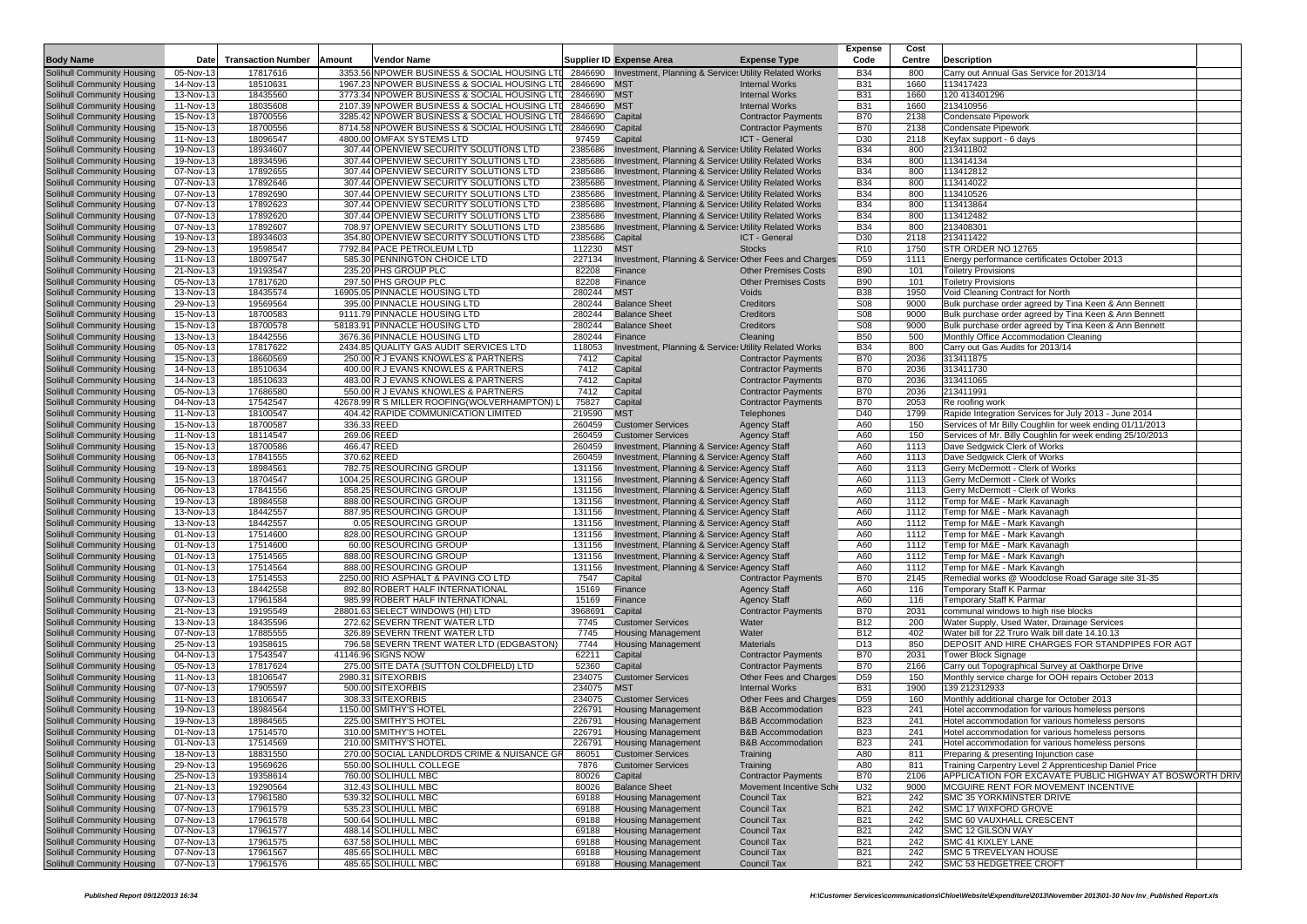|                                   |             |                           |             |                                                      |         |                                                        |                              | <b>Expense</b>  | Cost   |                                                           |
|-----------------------------------|-------------|---------------------------|-------------|------------------------------------------------------|---------|--------------------------------------------------------|------------------------------|-----------------|--------|-----------------------------------------------------------|
| <b>Body Name</b>                  | <b>Date</b> | <b>Transaction Number</b> | Amount      | <b>Vendor Name</b>                                   |         | Supplier ID Expense Area                               | <b>Expense Type</b>          | Code            | Centre | <b>Description</b>                                        |
| <b>Solihull Community Housing</b> | 05-Nov-13   | 17817616                  |             | 3353.56 NPOWER BUSINESS & SOCIAL HOUSING LTI 2846690 |         | Investment, Planning & Services Utility Related Works  |                              | <b>B34</b>      | 800    | Carry out Annual Gas Service for 2013/14                  |
| <b>Solihull Community Housing</b> | 14-Nov-13   | 18510631                  |             | 1967.23 NPOWER BUSINESS & SOCIAL HOUSING LTI 2846690 |         | <b>MST</b>                                             | <b>Internal Works</b>        | <b>B31</b>      | 1660   | 113417423                                                 |
| <b>Solihull Community Housing</b> | 13-Nov-13   | 18435560                  |             | 3773.34 NPOWER BUSINESS & SOCIAL HOUSING LTI 2846690 |         | <b>MST</b>                                             | <b>Internal Works</b>        | <b>B31</b>      | 1660   | 120 413401296                                             |
| Solihull Community Housing        | 11-Nov-13   | 18035608                  |             | 2107.39 NPOWER BUSINESS & SOCIAL HOUSING LTD         | 2846690 | <b>MST</b>                                             | <b>Internal Works</b>        | <b>B31</b>      | 1660   | 213410956                                                 |
| <b>Solihull Community Housing</b> | 15-Nov-13   | 18700556                  |             | 3285.42 NPOWER BUSINESS & SOCIAL HOUSING LTD         | 2846690 | Capital                                                | <b>Contractor Payments</b>   | <b>B70</b>      | 2138   | Condensate Pipework                                       |
| <b>Solihull Community Housing</b> | 15-Nov-13   | 18700556                  |             | 8714.58 NPOWER BUSINESS & SOCIAL HOUSING LTD         | 2846690 | Capital                                                | <b>Contractor Payments</b>   | <b>B70</b>      | 2138   | Condensate Pipework                                       |
| Solihull Community Housing        | 11-Nov-13   | 18096547                  |             | 4800.00 OMFAX SYSTEMS LTD                            | 97459   | Capital                                                | ICT - General                | D30             | 2118   | Keyfax support - 6 days                                   |
| <b>Solihull Community Housing</b> | 19-Nov-13   | 18934607                  |             | 307.44 OPENVIEW SECURITY SOLUTIONS LTD               | 2385686 | Investment, Planning & Services Utility Related Works  |                              | <b>B34</b>      | 800    | 213411802                                                 |
| <b>Solihull Community Housing</b> | 19-Nov-13   | 18934596                  |             | 307.44 OPENVIEW SECURITY SOLUTIONS LTD               | 2385686 | Investment, Planning & Services Utility Related Works  |                              | <b>B34</b>      | 800    | 113414134                                                 |
| <b>Solihull Community Housing</b> | 07-Nov-13   | 17892655                  |             | 307.44 OPENVIEW SECURITY SOLUTIONS LTD               | 2385686 | Investment, Planning & Services Utility Related Works  |                              | <b>B34</b>      | 800    | 113412812                                                 |
|                                   | 07-Nov-13   | 17892646                  |             |                                                      |         |                                                        |                              | <b>B34</b>      | 800    | 113414022                                                 |
| <b>Solihull Community Housing</b> |             |                           |             | 307.44 OPENVIEW SECURITY SOLUTIONS LTD               | 2385686 | Investment, Planning & Services Utility Related Works  |                              |                 |        |                                                           |
| <b>Solihull Community Housing</b> | 07-Nov-13   | 17892690                  |             | 307.44 OPENVIEW SECURITY SOLUTIONS LTD               | 2385686 | Investment, Planning & Services Utility Related Works  |                              | <b>B34</b>      | 800    | 113410526                                                 |
| <b>Solihull Community Housing</b> | 07-Nov-13   | 17892623                  |             | 307.44 OPENVIEW SECURITY SOLUTIONS LTD               | 2385686 | Investment, Planning & Services Utility Related Works  |                              | <b>B34</b>      | 800    | 113413864                                                 |
| <b>Solihull Community Housing</b> | 07-Nov-13   | 17892620                  |             | 307.44 OPENVIEW SECURITY SOLUTIONS LTD               | 2385686 | Investment, Planning & Services Utility Related Works  |                              | <b>B34</b>      | 800    | 113412482                                                 |
| <b>Solihull Community Housing</b> | 07-Nov-13   | 17892607                  |             | 708.97 OPENVIEW SECURITY SOLUTIONS LTD               | 2385686 | Investment, Planning & Services Utility Related Works  |                              | <b>B34</b>      | 800    | 213408301                                                 |
| <b>Solihull Community Housing</b> | 19-Nov-13   | 18934603                  |             | 354.80 OPENVIEW SECURITY SOLUTIONS LTD               | 2385686 | Capital                                                | ICT - General                | D30             | 2118   | 213411422                                                 |
| <b>Solihull Community Housing</b> | 29-Nov-13   | 19598547                  |             | 7792.84 PACE PETROLEUM LTD                           | 112230  | <b>MST</b>                                             | <b>Stocks</b>                | R <sub>10</sub> | 1750   | STR ORDER NO 12765                                        |
| Solihull Community Housing        | 11-Nov-13   | 18097547                  |             | 585.30 PENNINGTON CHOICE LTD                         | 227134  | Investment, Planning & Services Other Fees and Charges |                              | D <sub>59</sub> | 1111   | Energy performance certificates October 2013              |
| <b>Solihull Community Housing</b> | 21-Nov-13   | 19193547                  |             | 235.20 PHS GROUP PLC                                 | 82208   | Finance                                                | <b>Other Premises Costs</b>  | <b>B90</b>      | 101    | <b>Toiletry Provisions</b>                                |
| <b>Solihull Community Housing</b> | 05-Nov-13   | 17817620                  |             | 297.50 PHS GROUP PLC                                 | 82208   | Finance                                                | <b>Other Premises Costs</b>  | <b>B90</b>      | 101    | <b>Toiletry Provisions</b>                                |
| <b>Solihull Community Housing</b> | 13-Nov-13   | 18435574                  |             | 16905.05 PINNACLE HOUSING LTD                        | 280244  | <b>MST</b>                                             | Voids                        | <b>B38</b>      | 1950   | Void Cleaning Contract for North                          |
| Solihull Community Housing        | 29-Nov-13   | 19569564                  |             | 395.00 PINNACLE HOUSING LTD                          | 280244  | <b>Balance Sheet</b>                                   | Creditors                    | S <sub>08</sub> | 9000   | Bulk purchase order agreed by Tina Keen & Ann Bennett     |
| <b>Solihull Community Housing</b> | 15-Nov-13   | 18700583                  |             | 9111.79 PINNACLE HOUSING LTD                         | 280244  | <b>Balance Sheet</b>                                   | Creditors                    | S <sub>08</sub> | 9000   | Bulk purchase order agreed by Tina Keen & Ann Bennett     |
| <b>Solihull Community Housing</b> | $15-Nov-13$ | 18700578                  |             | 58183.91 PINNACLE HOUSING LTD                        | 280244  | <b>Balance Sheet</b>                                   | Creditors                    | S <sub>08</sub> | 9000   | Bulk purchase order agreed by Tina Keen & Ann Bennett     |
| <b>Solihull Community Housing</b> | 13-Nov-13   | 18442556                  |             | 3676.36 PINNACLE HOUSING LTD                         | 280244  | Finance                                                | Cleaning                     | <b>B50</b>      | 500    | Monthly Office Accommodation Cleaning                     |
| <b>Solihull Community Housing</b> | 05-Nov-13   | 17817622                  |             | 2434.85 QUALITY GAS AUDIT SERVICES LTD               | 118053  | Investment, Planning & Services Utility Related Works  |                              | <b>B34</b>      | 800    | Carry out Gas Audits for 2013/14                          |
|                                   |             |                           |             | 250.00 R J EVANS KNOWLES & PARTNERS                  |         |                                                        |                              |                 | 2036   | 313411875                                                 |
| <b>Solihull Community Housing</b> | 15-Nov-13   | 18660569                  |             |                                                      | 7412    | Capital                                                | <b>Contractor Payments</b>   | <b>B70</b>      |        |                                                           |
| <b>Solihull Community Housing</b> | 14-Nov-13   | 18510634                  |             | 400.00 R J EVANS KNOWLES & PARTNERS                  | 7412    | Capital                                                | <b>Contractor Payments</b>   | <b>B70</b>      | 2036   | 313411730                                                 |
| Solihull Community Housing        | 14-Nov-13   | 18510633                  |             | 483.00 R J EVANS KNOWLES & PARTNERS                  | 7412    | Capital                                                | <b>Contractor Payments</b>   | <b>B70</b>      | 2036   | 313411065                                                 |
| <b>Solihull Community Housing</b> | 05-Nov-13   | 17686580                  |             | 550.00 R J EVANS KNOWLES & PARTNERS                  | 7412    | Capital                                                | <b>Contractor Payments</b>   | <b>B70</b>      | 2036   | 213411991                                                 |
| <b>Solihull Community Housing</b> | 04-Nov-13   | 17542547                  |             | 42678.99 R S MILLER ROOFING(WOLVERHAMPTON) L         | 75827   | Capital                                                | <b>Contractor Payments</b>   | <b>B70</b>      | 2053   | Re roofing work                                           |
| <b>Solihull Community Housing</b> | 11-Nov-13   | 18100547                  |             | 404.42 RAPIDE COMMUNICATION LIMITED                  | 219590  | <b>MST</b>                                             | Telephones                   | D40             | 1799   | Rapide Integration Services for July 2013 - June 2014     |
| <b>Solihull Community Housing</b> | 15-Nov-13   | 18700587                  | 336.33 REED |                                                      | 260459  | <b>Customer Services</b>                               | <b>Agency Staff</b>          | A60             | 150    | Services of Mr Billy Coughlin for week ending 01/11/2013  |
| <b>Solihull Community Housing</b> | 11-Nov-13   | 18114547                  | 269.06 REED |                                                      | 260459  | <b>Customer Services</b>                               | <b>Agency Staff</b>          | A60             | 150    | Services of Mr. Billy Coughlin for week ending 25/10/2013 |
| <b>Solihull Community Housing</b> | $15-Nov-13$ | 18700586                  | 466.47 REED |                                                      | 260459  | Investment, Planning & Services Agency Staff           |                              | A60             | 1113   | Dave Sedgwick Clerk of Works                              |
| <b>Solihull Community Housing</b> | 06-Nov-13   | 17841555                  | 370.62 REED |                                                      | 260459  | Investment, Planning & Services Agency Staff           |                              | A60             | 1113   | Dave Sedgwick Clerk of Works                              |
| <b>Solihull Community Housing</b> | 19-Nov-13   | 18984561                  |             | 782.75 RESOURCING GROUP                              | 131156  | Investment, Planning & Services Agency Staff           |                              | A60             | 1113   | Gerry McDermott - Clerk of Works                          |
| <b>Solihull Community Housing</b> | 15-Nov-13   | 18704547                  |             | 1004.25 RESOURCING GROUP                             | 131156  | Investment, Planning & Services Agency Staff           |                              | A60             | 1113   | Gerry McDermott - Clerk of Works                          |
|                                   |             |                           |             |                                                      |         | Investment, Planning & Services Agency Staff           |                              |                 |        |                                                           |
| <b>Solihull Community Housing</b> | 06-Nov-13   | 17841556                  |             | 858.25 RESOURCING GROUP                              | 131156  |                                                        |                              | A60             | 1113   | Gerry McDermott - Clerk of Works                          |
| Solihull Community Housing        | 19-Nov-13   | 18984558                  |             | 888.00 RESOURCING GROUP                              | 131156  | Investment, Planning & Services Agency Staff           |                              | A60             | 1112   | Temp for M&E - Mark Kavanagh                              |
| <b>Solihull Community Housing</b> | 13-Nov-13   | 18442557                  |             | 887.95 RESOURCING GROUP                              | 131156  | Investment, Planning & Services Agency Staff           |                              | A60             | 1112   | Temp for M&E - Mark Kavanagh                              |
| <b>Solihull Community Housing</b> | 13-Nov-13   | 18442557                  |             | 0.05 RESOURCING GROUP                                | 131156  | Investment, Planning & Services Agency Staff           |                              | A60             | 1112   | Temp for M&E - Mark Kavangh                               |
| Solihull Community Housing        | 01-Nov-13   | 17514600                  |             | 828.00 RESOURCING GROUP                              | 131156  | Investment, Planning & Services Agency Staff           |                              | A60             | 1112   | Temp for M&E - Mark Kavangh                               |
| <b>Solihull Community Housing</b> | 01-Nov-13   | 17514600                  |             | 60.00 RESOURCING GROUP                               | 131156  | Investment, Planning & Service: Agency Staff           |                              | A60             | 1112   | Temp for M&E - Mark Kavanagh                              |
| <b>Solihull Community Housing</b> | 01-Nov-13   | 17514565                  |             | 888.00 RESOURCING GROUP                              | 131156  | Investment, Planning & Services Agency Staff           |                              | A60             | 1112   | Temp for M&E - Mark Kavangh                               |
| <b>Solihull Community Housing</b> | 01-Nov-13   | 17514564                  |             | 888.00 RESOURCING GROUP                              | 131156  | Investment, Planning & Services Agency Staff           |                              | A60             | 1112   | Temp for M&E - Mark Kavangh                               |
| <b>Solihull Community Housing</b> | 01-Nov-13   | 17514553                  |             | 2250.00 RIO ASPHALT & PAVING CO LTD                  | 7547    | Capital                                                | <b>Contractor Payments</b>   | <b>B70</b>      | 2145   | Remedial works @ Woodclose Road Garage site 31-35         |
| <b>Solihull Community Housing</b> | 13-Nov-13   | 18442558                  |             | 892.80 ROBERT HALF INTERNATIONAL                     | 15169   | Finance                                                | <b>Agency Staff</b>          | A60             | 116    | Temporary Staff K Parmar                                  |
| <b>Solihull Community Housing</b> | 07-Nov-13   | 17961584                  |             | 985.99 ROBERT HALF INTERNATIONAL                     | 15169   | Finance                                                | <b>Agency Staff</b>          | A60             | 116    | Temporary Staff K Parmar                                  |
| <b>Solihull Community Housing</b> | 21-Nov-13   | 19195549                  |             | 28801.63 SELECT WINDOWS (HI) LTD                     | 3968691 | Capital                                                | <b>Contractor Payments</b>   | <b>B70</b>      | 2031   | communal windows to high rise blocks                      |
| <b>Solihull Community Housing</b> | 13-Nov-13   | 18435596                  |             | 272.62 SEVERN TRENT WATER LTD                        | 7745    | <b>Customer Services</b>                               | Water                        | <b>B12</b>      | 200    | Water Supply, Used Water, Drainage Services               |
| <b>Solihull Community Housing</b> | 07-Nov-13   | 17885555                  |             | 326.89 SEVERN TRENT WATER LTD                        | 7745    | <b>Housing Management</b>                              | Water                        | <b>B12</b>      | 402    | Water bill for 22 Truro Walk bill date 14.10.13           |
| <b>Solihull Community Housing</b> | 25-Nov-13   | 19358615                  |             | 796.58 SEVERN TRENT WATER LTD (EDGBASTON)            | 7744    | <b>Housing Management</b>                              | <b>Materials</b>             | D <sub>13</sub> | 850    | DEPOSIT AND HIRE CHARGES FOR STANDPIPES FOR AGT           |
| Solihull Community Housing        | 04-Nov-13   | 17543547                  |             | 41146.96 SIGNS NOW                                   | 62211   | Capital                                                | <b>Contractor Payments</b>   | <b>B70</b>      | 2031   | <b>Tower Block Signage</b>                                |
|                                   |             |                           |             | 275.00 SITE DATA (SUTTON COLDFIELD) LTD              |         |                                                        |                              |                 |        |                                                           |
| <b>Solihull Community Housing</b> | 05-Nov-13   | 17817624                  |             |                                                      | 52360   | Capital                                                | <b>Contractor Payments</b>   | <b>B70</b>      | 2166   | Carry out Topographical Survey at Oakthorpe Drive         |
| <b>Solihull Community Housing</b> | 11-Nov-13   | 18106547                  |             | 2980.31 SITEXORBIS                                   | 234075  | <b>Customer Services</b>                               | Other Fees and Charges       | D <sub>59</sub> | 150    | Monthly service charge for OOH repairs October 2013       |
| <b>Solihull Community Housing</b> | 07-Nov-13   | 17905597                  |             | 500.00 SITEXORBIS                                    | 234075  | <b>MST</b>                                             | <b>Internal Works</b>        | <b>B31</b>      | 1900   | 139 212312933                                             |
| Solihull Community Housing        | 11-Nov-13   | 18106547                  |             | 308.33 SITEXORBIS                                    | 234075  | <b>Customer Services</b>                               | Other Fees and Charges       | D <sub>59</sub> | 160    | Monthly additional charge for October 2013                |
| <b>Solihull Community Housing</b> | 19-Nov-13   | 18984564                  |             | 1150.00 SMITHY'S HOTEL                               | 226791  | <b>Housing Management</b>                              | <b>B&amp;B Accommodation</b> | <b>B23</b>      | 241    | Hotel accommodation for various homeless persons          |
| <b>Solihull Community Housing</b> | 19-Nov-13   | 18984565                  |             | 225.00 SMITHY'S HOTEL                                | 226791  | <b>Housing Management</b>                              | <b>B&amp;B Accommodation</b> | <b>B23</b>      | 241    | Hotel accommodation for various homeless persons          |
| <b>Solihull Community Housing</b> | 01-Nov-13   | 17514570                  |             | 310.00 SMITHY'S HOTEL                                | 226791  | <b>Housing Management</b>                              | <b>B&amp;B Accommodation</b> | <b>B23</b>      | 241    | Hotel accommodation for various homeless persons          |
| Solihull Community Housing        | 01-Nov-13   | 17514569                  |             | 210.00 SMITHY'S HOTEL                                | 226791  | <b>Housing Management</b>                              | <b>B&amp;B Accommodation</b> | B23             | 241    | Hotel accommodation for various homeless persons          |
| <b>Solihull Community Housing</b> | 18-Nov-13   | 18831550                  |             | 270.00 SOCIAL LANDLORDS CRIME & NUISANCE GF          | 86051   | <b>Customer Services</b>                               | Training                     | A80             | 811    | Preparing & presenting Injunction case                    |
| Solihull Community Housing        | 29-Nov-13   | 19569626                  |             | 550.00 SOLIHULL COLLEGE                              | 7876    | <b>Customer Services</b>                               | Training                     | A80             | 811    | Training Carpentry Level 2 Apprenticeship Daniel Price    |
| Solihull Community Housing        | 25-Nov-13   | 19358614                  |             | 760.00 SOLIHULL MBC                                  | 80026   | Capital                                                | <b>Contractor Payments</b>   | <b>B70</b>      | 2106   | APPLICATION FOR EXCAVATE PUBLIC HIGHWAY AT BOSWORTH DRIV  |
| Solihull Community Housing        | 21-Nov-13   | 19290564                  |             | 312.43 SOLIHULL MBC                                  | 80026   | <b>Balance Sheet</b>                                   | Movement Incentive Sche      | U32             | 9000   | MCGUIRE RENT FOR MOVEMENT INCENTIVE                       |
| Solihull Community Housing        | 07-Nov-13   | 17961580                  |             | 539.32 SOLIHULL MBC                                  | 69188   | <b>Housing Management</b>                              | Council Tax                  | <b>B21</b>      | 242    | SMC 35 YORKMINSTER DRIVE                                  |
| Solihull Community Housing        | 07-Nov-13   | 17961579                  |             | 535.23 SOLIHULL MBC                                  |         | <b>Housing Management</b>                              | Council Tax                  |                 | 242    | SMC 17 WIXFORD GROVE                                      |
|                                   |             |                           |             |                                                      | 69188   |                                                        |                              | <b>B21</b>      |        |                                                           |
| Solihull Community Housing        | 07-Nov-13   | 17961578                  |             | 500.64 SOLIHULL MBC                                  | 69188   | <b>Housing Management</b>                              | Council Tax                  | <b>B21</b>      | 242    | SMC 60 VAUXHALL CRESCENT                                  |
| Solihull Community Housing        | 07-Nov-13   | 17961577                  |             | 488.14 SOLIHULL MBC                                  | 69188   | <b>Housing Management</b>                              | Council Tax                  | <b>B21</b>      | 242    | SMC 12 GILSON WAY                                         |
| Solihull Community Housing        | 07-Nov-13   | 17961575                  |             | 637.58 SOLIHULL MBC                                  | 69188   | <b>Housing Management</b>                              | Council Tax                  | <b>B21</b>      | 242    | SMC 41 KIXLEY LANE                                        |
| Solihull Community Housing        | 07-Nov-13   | 17961567                  |             | 485.65 SOLIHULL MBC                                  | 69188   | <b>Housing Management</b>                              | Council Tax                  | <b>B21</b>      | 242    | SMC 5 TREVELYAN HOUSE                                     |
| Solihull Community Housing        | 07-Nov-13   | 17961576                  |             | 485.65 SOLIHULL MBC                                  | 69188   | <b>Housing Management</b>                              | Council Tax                  | <b>B21</b>      | 242    | SMC 53 HEDGETREE CROFT                                    |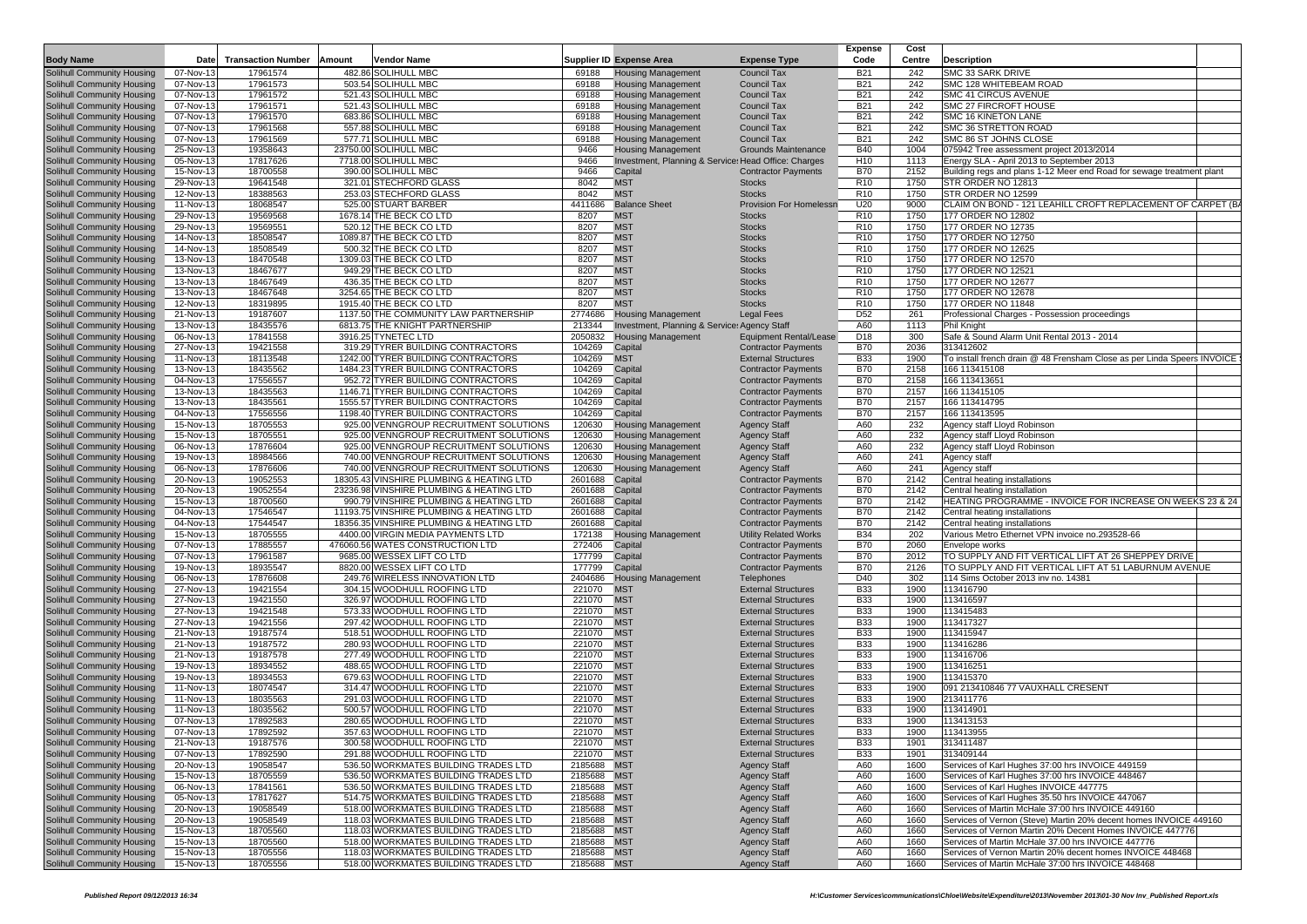|                                                                        |                        |                           |        |                                                                                  |                           |                                                        |                                                          | <b>Expense</b>                     | Cost         |                                                                         |  |
|------------------------------------------------------------------------|------------------------|---------------------------|--------|----------------------------------------------------------------------------------|---------------------------|--------------------------------------------------------|----------------------------------------------------------|------------------------------------|--------------|-------------------------------------------------------------------------|--|
| <b>Body Name</b>                                                       | Date                   | <b>Transaction Number</b> | Amount | <b>Vendor Name</b>                                                               |                           | <b>Supplier ID Expense Area</b>                        | <b>Expense Type</b>                                      | Code                               | Centre       | <b>Description</b>                                                      |  |
| Solihull Community Housing                                             | 07-Nov-13              | 17961574                  |        | 482.86 SOLIHULL MBC                                                              | 69188                     | <b>Housing Management</b>                              | <b>Council Tax</b>                                       | <b>B21</b>                         | 242          | SMC 33 SARK DRIVE                                                       |  |
| Solihull Community Housing                                             | 07-Nov-13              | 17961573                  |        | 503.54 SOLIHULL MBC                                                              | 69188                     | <b>Housing Management</b>                              | <b>Council Tax</b>                                       | <b>B21</b>                         | 242          | SMC 128 WHITEBEAM ROAD                                                  |  |
| Solihull Community Housing                                             | 07-Nov-13              | 17961572                  |        | 521.43 SOLIHULL MBC                                                              | 69188                     | <b>Housing Management</b>                              | <b>Council Tax</b>                                       | <b>B21</b>                         | 242          | <b>SMC 41 CIRCUS AVENUE</b>                                             |  |
| Solihull Community Housing                                             | 07-Nov-13              | 17961571                  |        | 521.43 SOLIHULL MBC                                                              | 69188                     | <b>Housing Management</b>                              | <b>Council Tax</b>                                       | <b>B21</b>                         | 242          | SMC 27 FIRCROFT HOUSE                                                   |  |
| Solihull Community Housing                                             | 07-Nov-13<br>07-Nov-13 | 17961570<br>17961568      |        | 683.86 SOLIHULL MBC<br>557.88 SOLIHULL MBC                                       | 69188<br>69188            | <b>Housing Management</b><br><b>Housing Management</b> | <b>Council Tax</b><br><b>Council Tax</b>                 | <b>B21</b><br><b>B21</b>           | 242<br>242   | SMC 16 KINETON LANE<br>SMC 36 STRETTON ROAD                             |  |
| Solihull Community Housing<br>Solihull Community Housing               | 07-Nov-13              | 17961569                  |        | 577.71 SOLIHULL MBC                                                              | 69188                     | <b>Housing Management</b>                              | <b>Council Tax</b>                                       | <b>B21</b>                         | 242          | SMC 86 ST JOHNS CLOSE                                                   |  |
| <b>Solihull Community Housing</b>                                      | 25-Nov-13              | 19358643                  |        | 23750.00 SOLIHULL MBC                                                            | 9466                      | <b>Housing Management</b>                              | <b>Grounds Maintenance</b>                               | <b>B40</b>                         | 1004         | 075942 Tree assessment project 2013/2014                                |  |
| Solihull Community Housing                                             | 05-Nov-13              | 17817626                  |        | 7718.00 SOLIHULL MBC                                                             | 9466                      | Investment, Planning & Service: Head Office: Charges   |                                                          | H <sub>10</sub>                    | 1113         | Energy SLA - April 2013 to September 2013                               |  |
| <b>Solihull Community Housing</b>                                      | 15-Nov-13              | 18700558                  |        | 390.00 SOLIHULL MBC                                                              | 9466                      | Capital                                                | <b>Contractor Payments</b>                               | <b>B70</b>                         | 2152         | Building regs and plans 1-12 Meer end Road for sewage treatment plant   |  |
| Solihull Community Housing                                             | 29-Nov-13              | 19641548                  |        | 321.01 STECHFORD GLASS                                                           | 8042                      | <b>MST</b>                                             | <b>Stocks</b>                                            | R <sub>10</sub>                    | 1750         | STR ORDER NO 12813                                                      |  |
| Solihull Community Housing                                             | 12-Nov-13              | 18388563                  |        | 253.03 STECHFORD GLASS                                                           | 8042                      | <b>MST</b>                                             | <b>Stocks</b>                                            | R <sub>10</sub>                    | 1750         | STR ORDER NO 12599                                                      |  |
| Solihull Community Housing                                             | 11-Nov-13              | 18068547                  |        | 525.00 STUART BARBER                                                             | 4411686                   | <b>Balance Sheet</b>                                   | <b>Provision For Homelessn</b>                           | U20                                | 9000         | CLAIM ON BOND - 121 LEAHILL CROFT REPLACEMENT OF CARPET (B              |  |
| <b>Solihull Community Housing</b>                                      | 29-Nov-13              | 19569568                  |        | 1678.14 THE BECK CO LTD                                                          | 8207                      | <b>MST</b>                                             | <b>Stocks</b>                                            | R <sub>10</sub>                    | 1750         | 177 ORDER NO 12802                                                      |  |
| <b>Solihull Community Housing</b>                                      | 29-Nov-13              | 19569551                  |        | 520.12 THE BECK CO LTD                                                           | 8207                      | <b>MST</b>                                             | <b>Stocks</b>                                            | R <sub>10</sub>                    | 1750         | 177 ORDER NO 12735                                                      |  |
| Solihull Community Housing                                             | 14-Nov-13              | 18508547                  |        | 1089.87 THE BECK CO LTD                                                          | 8207                      | <b>MST</b>                                             | <b>Stocks</b>                                            | R <sub>10</sub>                    | 1750         | 177 ORDER NO 12750                                                      |  |
| <b>Solihull Community Housing</b>                                      | 14-Nov-13              | 18508549                  |        | 500.32 THE BECK CO LTD                                                           | 8207                      | <b>MST</b>                                             | <b>Stocks</b>                                            | R <sub>10</sub>                    | 1750         | 177 ORDER NO 12625                                                      |  |
| <b>Solihull Community Housing</b>                                      | 13-Nov-13              | 18470548                  |        | 1309.03 THE BECK CO LTD                                                          | 8207                      | <b>MST</b>                                             | <b>Stocks</b>                                            | R <sub>10</sub>                    | 1750         | 177 ORDER NO 12570                                                      |  |
| <b>Solihull Community Housing</b>                                      | 13-Nov-13              | 18467677                  |        | 949.29 THE BECK CO LTD                                                           | 8207                      | <b>MST</b>                                             | <b>Stocks</b>                                            | R <sub>10</sub>                    | 1750         | 177 ORDER NO 12521                                                      |  |
| Solihull Community Housing                                             | 13-Nov-13              | 18467649<br>18467648      |        | 436.35 THE BECK CO LTD<br>3254.65 THE BECK CO LTD                                | 8207<br>8207              | <b>MST</b><br><b>MST</b>                               | <b>Stocks</b><br><b>Stocks</b>                           | R <sub>10</sub><br>R <sub>10</sub> | 1750<br>1750 | 177 ORDER NO 12677<br>177 ORDER NO 12678                                |  |
| <b>Solihull Community Housing</b><br><b>Solihull Community Housing</b> | 13-Nov-13<br>12-Nov-13 | 18319895                  |        | 1915.40 THE BECK CO LTD                                                          | 8207                      | <b>MST</b>                                             | <b>Stocks</b>                                            | R <sub>10</sub>                    | 1750         | 177 ORDER NO 11848                                                      |  |
| Solihull Community Housing                                             | 21-Nov-13              | 19187607                  |        | 1137.50 THE COMMUNITY LAW PARTNERSHIP                                            | 2774686                   | <b>Housing Management</b>                              | <b>Legal Fees</b>                                        | D <sub>52</sub>                    | 261          | Professional Charges - Possession proceedings                           |  |
| <b>Solihull Community Housing</b>                                      | 13-Nov-13              | 18435576                  |        | 6813.75 THE KNIGHT PARTNERSHIP                                                   | 213344                    | Investment, Planning & Service: Agency Staff           |                                                          | A60                                | 1113         | Phil Knight                                                             |  |
| Solihull Community Housing                                             | 06-Nov-13              | 17841558                  |        | 3916.25 TYNETEC LTD                                                              | 2050832                   | <b>Housing Management</b>                              | <b>Equipment Rental/Lease</b>                            | D <sub>18</sub>                    | 300          | Safe & Sound Alarm Unit Rental 2013 - 2014                              |  |
| Solihull Community Housing                                             | 27-Nov-13              | 19421558                  |        | 319.29 TYRER BUILDING CONTRACTORS                                                | 104269                    | Capital                                                | <b>Contractor Payments</b>                               | <b>B70</b>                         | 2036         | 313412602                                                               |  |
| Solihull Community Housing                                             | 11-Nov-13              | 18113548                  |        | 1242.00 TYRER BUILDING CONTRACTORS                                               | 104269                    | <b>MST</b>                                             | <b>External Structures</b>                               | <b>B33</b>                         | 1900         | To install french drain @ 48 Frensham Close as per Linda Speers INVOICE |  |
| Solihull Community Housing                                             | 13-Nov-13              | 18435562                  |        | 1484.23 TYRER BUILDING CONTRACTORS                                               | 104269                    | Capital                                                | <b>Contractor Payments</b>                               | <b>B70</b>                         | 2158         | 166 113415108                                                           |  |
| Solihull Community Housing                                             | 04-Nov-13              | 17556557                  |        | 952.72 TYRER BUILDING CONTRACTORS                                                | 104269                    | Capital                                                | <b>Contractor Payments</b>                               | <b>B70</b>                         | 2158         | 166 113413651                                                           |  |
| <b>Solihull Community Housing</b>                                      | 13-Nov-13              | 18435563                  |        | 1146.71 TYRER BUILDING CONTRACTORS                                               | 104269                    | Capital                                                | <b>Contractor Payments</b>                               | <b>B70</b>                         | 2157         | 166 113415105                                                           |  |
| Solihull Community Housing                                             | 13-Nov-13              | 18435561                  |        | 1555.57 TYRER BUILDING CONTRACTORS                                               | 104269                    | Capital                                                | <b>Contractor Payments</b>                               | <b>B70</b>                         | 2157         | 166 113414795                                                           |  |
| Solihull Community Housing                                             | 04-Nov-13              | 17556556                  |        | 1198.40 TYRER BUILDING CONTRACTORS                                               | 104269                    | Capital                                                | <b>Contractor Payments</b>                               | <b>B70</b>                         | 2157         | 166 113413595                                                           |  |
| <b>Solihull Community Housing</b>                                      | 15-Nov-13              | 18705553                  |        | 925.00 VENNGROUP RECRUITMENT SOLUTIONS                                           | 120630                    | <b>Housing Management</b>                              | <b>Agency Staff</b>                                      | A60                                | 232          | Agency staff Lloyd Robinson                                             |  |
| Solihull Community Housing                                             | 15-Nov-13              | 18705551                  |        | 925.00 VENNGROUP RECRUITMENT SOLUTIONS                                           | 120630                    | <b>Housing Management</b>                              | <b>Agency Staff</b>                                      | A60                                | 232          | Agency staff Lloyd Robinson                                             |  |
| Solihull Community Housing                                             | 06-Nov-13<br>19-Nov-13 | 17876604<br>18984566      |        | 925.00 VENNGROUP RECRUITMENT SOLUTIONS<br>740.00 VENNGROUP RECRUITMENT SOLUTIONS | 120630<br>120630          | <b>Housing Management</b>                              | <b>Agency Staff</b>                                      | A60<br>A60                         | 232<br>241   | Agency staff Lloyd Robinson                                             |  |
| <b>Solihull Community Housing</b><br><b>Solihull Community Housing</b> | 06-Nov-13              | 17876606                  |        | 740.00 VENNGROUP RECRUITMENT SOLUTIONS                                           | 120630                    | <b>Housing Management</b><br><b>Housing Management</b> | <b>Agency Staff</b><br><b>Agency Staff</b>               | A60                                | 241          | Agency staff<br>Agency staff                                            |  |
| Solihull Community Housing                                             | 20-Nov-13              | 19052553                  |        | 18305.43 VINSHIRE PLUMBING & HEATING LTD                                         | 2601688                   | Capital                                                | <b>Contractor Payments</b>                               | <b>B70</b>                         | 2142         | Central heating installations                                           |  |
| Solihull Community Housing                                             | 20-Nov-13              | 19052554                  |        | 23236.98 VINSHIRE PLUMBING & HEATING LTD                                         | 2601688                   | Capital                                                | <b>Contractor Payments</b>                               | <b>B70</b>                         | 2142         | Central heating installation                                            |  |
| <b>Solihull Community Housing</b>                                      | 15-Nov-13              | 18700560                  |        | 990.79 VINSHIRE PLUMBING & HEATING LTD                                           | 2601688                   | Capital                                                | <b>Contractor Payments</b>                               | <b>B70</b>                         | 2142         | HEATING PROGRAMME - INVOICE FOR INCREASE ON WEEKS 23 & 24               |  |
| <b>Solihull Community Housing</b>                                      | 04-Nov-13              | 17546547                  |        | 11193.75 VINSHIRE PLUMBING & HEATING LTD                                         | 2601688                   | Capital                                                | <b>Contractor Payments</b>                               | <b>B70</b>                         | 2142         | Central heating installations                                           |  |
| Solihull Community Housing                                             | 04-Nov-13              | 17544547                  |        | 18356.35 VINSHIRE PLUMBING & HEATING LTD                                         | 2601688                   | Capital                                                | <b>Contractor Payments</b>                               | <b>B70</b>                         | 2142         | Central heating installations                                           |  |
| <b>Solihull Community Housing</b>                                      | 15-Nov-13              | 18705555                  |        | 4400.00 VIRGIN MEDIA PAYMENTS LTD                                                | 172138                    | <b>Housing Management</b>                              | <b>Utility Related Works</b>                             | <b>B34</b>                         | 202          | Various Metro Ethernet VPN invoice no.293528-66                         |  |
| <b>Solihull Community Housing</b>                                      | 07-Nov-13              | 17885557                  |        | 476060.56 WATES CONSTRUCTION LTD                                                 | 272406                    | Capital                                                | <b>Contractor Payments</b>                               | <b>B70</b>                         | 2060         | Envelope works                                                          |  |
| Solihull Community Housing                                             | 07-Nov-13              | 17961587                  |        | 9685.00 WESSEX LIFT CO LTD                                                       | 177799                    | Capital                                                | <b>Contractor Payments</b>                               | <b>B70</b>                         | 2012         | TO SUPPLY AND FIT VERTICAL LIFT AT 26 SHEPPEY DRIVE                     |  |
| <b>Solihull Community Housing</b>                                      | 19-Nov-13              | 18935547                  |        | 8820.00 WESSEX LIFT CO LTD                                                       | 177799                    | Capital                                                | <b>Contractor Payments</b>                               | <b>B70</b>                         | 2126         | TO SUPPLY AND FIT VERTICAL LIFT AT 51 LABURNUM AVENUE                   |  |
| Solihull Community Housing                                             | 06-Nov-13              | 17876608                  |        | 249.76 WIRELESS INNOVATION LTD                                                   | 2404686                   | <b>Housing Management</b>                              | Telephones                                               | D40                                | 302          | 114 Sims October 2013 inv no. 14381                                     |  |
| Solihull Community Housing                                             | 27-Nov-13              | 19421554                  |        | 304.15 WOODHULL ROOFING LTD                                                      | 221070                    | <b>MST</b>                                             | <b>External Structures</b>                               | <b>B33</b>                         | 1900         | 113416790                                                               |  |
| Solihull Community Housing<br>Solihull Community Housing               | 27-Nov-13<br>27-Nov-13 | 19421550<br>19421548      |        | 326.97 WOODHULL ROOFING LTD<br>573.33 WOODHULL ROOFING LTD                       | 221070<br>221070          | <b>MST</b><br><b>MST</b>                               | <b>External Structures</b><br><b>External Structures</b> | <b>B33</b><br><b>B33</b>           | 1900<br>1900 | 113416597<br>113415483                                                  |  |
| Solihull Community Housing                                             | 27-Nov-13              | 19421556                  |        | 297.42 WOODHULL ROOFING LTD                                                      | 221070                    | <b>MST</b>                                             | <b>External Structures</b>                               | <b>B33</b>                         | 1900         | 113417327                                                               |  |
| Solihull Community Housing                                             | 21-Nov-13              | 19187574                  |        | 518.51 WOODHULL ROOFING LTD                                                      | 221070                    | <b>MST</b>                                             | <b>External Structures</b>                               | <b>B33</b>                         | 1900         | 113415947                                                               |  |
| Solihull Community Housing                                             | 21-Nov-13              | 19187572                  |        | 280.93 WOODHULL ROOFING LTD                                                      | 221070                    | <b>MST</b>                                             | <b>External Structures</b>                               | <b>B33</b>                         | 1900         | 113416286                                                               |  |
| <b>Solihull Community Housing</b>                                      | 21-Nov-13              | 19187578                  |        | 277.49 WOODHULL ROOFING LTD                                                      | 221070                    | <b>MST</b>                                             | <b>External Structures</b>                               | <b>B33</b>                         | 1900         | 113416706                                                               |  |
| <b>Solihull Community Housing</b>                                      | 19-Nov-13              | 18934552                  |        | 488.65 WOODHULL ROOFING LTD                                                      | 221070                    | <b>MST</b>                                             | <b>External Structures</b>                               | <b>B33</b>                         | 1900         | 113416251                                                               |  |
| Solihull Community Housing                                             | 19-Nov-13              | 18934553                  |        | 679.63 WOODHULL ROOFING LTD                                                      | 221070                    | <b>MST</b>                                             | <b>External Structures</b>                               | <b>B33</b>                         | 1900         | 113415370                                                               |  |
| <b>Solihull Community Housing</b>                                      | 11-Nov-13              | 18074547                  |        | 314.47 WOODHULL ROOFING LTD                                                      | 221070                    | <b>MST</b>                                             | <b>External Structures</b>                               | <b>B33</b>                         | 1900         | 091 213410846 77 VAUXHALL CRESENT                                       |  |
| Solihull Community Housing                                             | 11-Nov-13              | 18035563                  |        | 291.03 WOODHULL ROOFING LTD                                                      | 221070                    | <b>MST</b>                                             | <b>External Structures</b>                               | <b>B33</b>                         | 1900         | 213411776                                                               |  |
| Solihull Community Housing                                             | 11-Nov-13              | 18035562                  |        | 500.57 WOODHULL ROOFING LTD                                                      | 221070                    | <b>MST</b>                                             | <b>External Structures</b>                               | <b>B33</b>                         | 1900         | 113414901                                                               |  |
| Solihull Community Housing                                             | 07-Nov-13              | 17892583                  |        | 280.65 WOODHULL ROOFING LTD                                                      | 221070                    | <b>MST</b>                                             | <b>External Structures</b>                               | <b>B33</b>                         | 1900         | 113413153                                                               |  |
| Solihull Community Housing                                             | 07-Nov-13              | 17892592                  |        | 357.63 WOODHULL ROOFING LTD                                                      | 221070                    | <b>MST</b>                                             | <b>External Structures</b>                               | <b>B33</b>                         | 1900         | 113413955                                                               |  |
| Solihull Community Housing                                             | 21-Nov-13<br>07-Nov-13 | 19187576                  |        | 300.58 WOODHULL ROOFING LTD                                                      | 221070 MST                |                                                        | <b>External Structures</b>                               | <b>B33</b><br><b>B33</b>           | 1901<br>1901 | 313411487<br>313409144                                                  |  |
| Solihull Community Housing<br>Solihull Community Housing               | 20-Nov-13              | 17892590<br>19058547      |        | 291.88 WOODHULL ROOFING LTD<br>536.50 WORKMATES BUILDING TRADES LTD              | 221070 MST<br>2185688 MST |                                                        | <b>External Structures</b><br><b>Agency Staff</b>        | A60                                | 1600         | Services of Karl Hughes 37:00 hrs INVOICE 449159                        |  |
| Solihull Community Housing                                             | 15-Nov-13              | 18705559                  |        | 536.50 WORKMATES BUILDING TRADES LTD                                             | 2185688 MST               |                                                        | <b>Agency Staff</b>                                      | A60                                | 1600         | Services of Karl Hughes 37:00 hrs INVOICE 448467                        |  |
| Solihull Community Housing                                             | 06-Nov-13              | 17841561                  |        | 536.50 WORKMATES BUILDING TRADES LTD                                             | 2185688 MST               |                                                        | <b>Agency Staff</b>                                      | A60                                | 1600         | Services of Karl Hughes INVOICE 447775                                  |  |
| Solihull Community Housing                                             | 05-Nov-13              | 17817627                  |        | 514.75 WORKMATES BUILDING TRADES LTD                                             | 2185688 MST               |                                                        | <b>Agency Staff</b>                                      | A60                                | 1600         | Services of Karl Hughes 35.50 hrs INVOICE 447067                        |  |
| Solihull Community Housing                                             | 20-Nov-13              | 19058549                  |        | 518.00 WORKMATES BUILDING TRADES LTD                                             | 2185688 MST               |                                                        | <b>Agency Staff</b>                                      | A60                                | 1660         | Services of Martin McHale 37:00 hrs INVOICE 449160                      |  |
| Solihull Community Housing                                             | 20-Nov-13              | 19058549                  |        | 118.03 WORKMATES BUILDING TRADES LTD                                             | 2185688 MST               |                                                        | <b>Agency Staff</b>                                      | A60                                | 1660         | Services of Vernon (Steve) Martin 20% decent homes INVOICE 449160       |  |
| Solihull Community Housing                                             | 15-Nov-13              | 18705560                  |        | 118.03 WORKMATES BUILDING TRADES LTD                                             | 2185688 MST               |                                                        | <b>Agency Staff</b>                                      | A60                                | 1660         | Services of Vernon Martin 20% Decent Homes INVOICE 447776               |  |
| Solihull Community Housing                                             | 15-Nov-13              | 18705560                  |        | 518.00 WORKMATES BUILDING TRADES LTD                                             | 2185688 MST               |                                                        | <b>Agency Staff</b>                                      | A60                                | 1660         | Services of Martin McHale 37.00 hrs INVOICE 447776                      |  |
| Solihull Community Housing                                             | 15-Nov-13              | 18705556                  |        | 118.03 WORKMATES BUILDING TRADES LTD                                             | 2185688 MST               |                                                        | <b>Agency Staff</b>                                      | A60                                | 1660         | Services of Vernon Martin 20% decent homes INVOICE 448468               |  |
| Solihull Community Housing                                             | 15-Nov-13              | 18705556                  |        | 518.00 WORKMATES BUILDING TRADES LTD                                             | 2185688 MST               |                                                        | <b>Agency Staff</b>                                      | A60                                | 1660         | Services of Martin McHale 37:00 hrs INVOICE 448468                      |  |